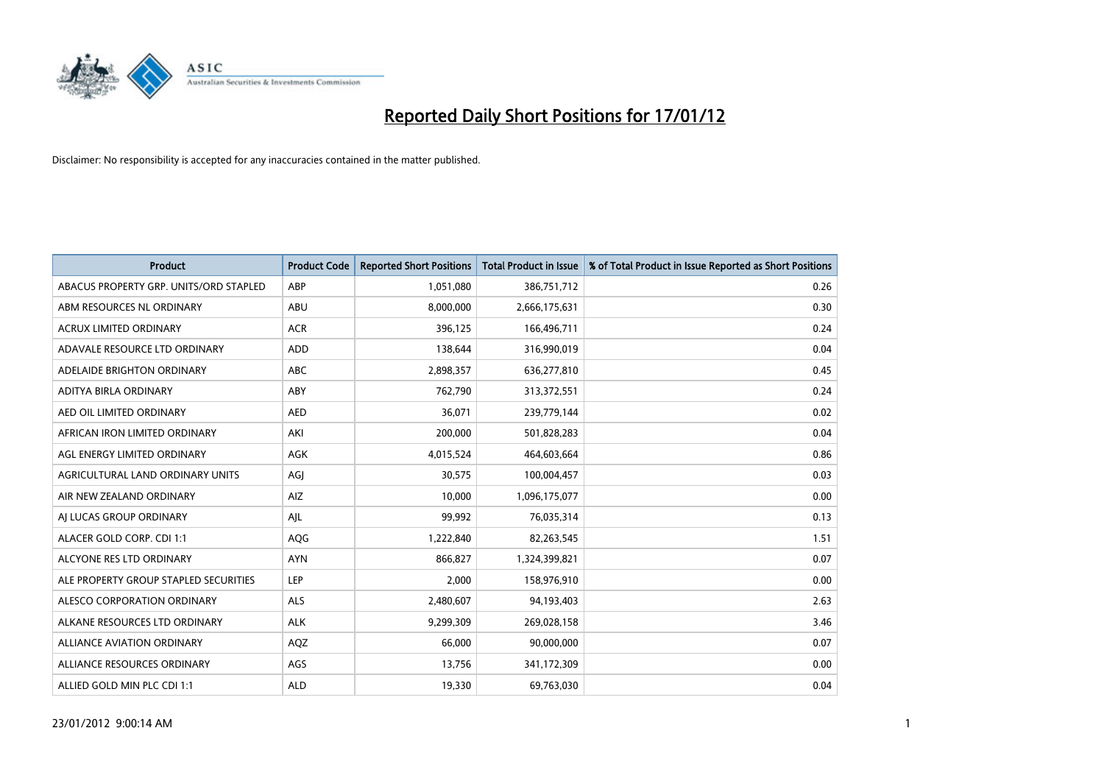

| <b>Product</b>                         | <b>Product Code</b> | <b>Reported Short Positions</b> | <b>Total Product in Issue</b> | % of Total Product in Issue Reported as Short Positions |
|----------------------------------------|---------------------|---------------------------------|-------------------------------|---------------------------------------------------------|
| ABACUS PROPERTY GRP. UNITS/ORD STAPLED | ABP                 | 1,051,080                       | 386,751,712                   | 0.26                                                    |
| ABM RESOURCES NL ORDINARY              | <b>ABU</b>          | 8,000,000                       | 2,666,175,631                 | 0.30                                                    |
| <b>ACRUX LIMITED ORDINARY</b>          | <b>ACR</b>          | 396,125                         | 166,496,711                   | 0.24                                                    |
| ADAVALE RESOURCE LTD ORDINARY          | <b>ADD</b>          | 138,644                         | 316,990,019                   | 0.04                                                    |
| ADELAIDE BRIGHTON ORDINARY             | <b>ABC</b>          | 2,898,357                       | 636,277,810                   | 0.45                                                    |
| ADITYA BIRLA ORDINARY                  | ABY                 | 762,790                         | 313,372,551                   | 0.24                                                    |
| AED OIL LIMITED ORDINARY               | <b>AED</b>          | 36,071                          | 239,779,144                   | 0.02                                                    |
| AFRICAN IRON LIMITED ORDINARY          | AKI                 | 200,000                         | 501,828,283                   | 0.04                                                    |
| AGL ENERGY LIMITED ORDINARY            | AGK                 | 4,015,524                       | 464,603,664                   | 0.86                                                    |
| AGRICULTURAL LAND ORDINARY UNITS       | AGI                 | 30,575                          | 100,004,457                   | 0.03                                                    |
| AIR NEW ZEALAND ORDINARY               | <b>AIZ</b>          | 10,000                          | 1,096,175,077                 | 0.00                                                    |
| AI LUCAS GROUP ORDINARY                | AJL                 | 99,992                          | 76,035,314                    | 0.13                                                    |
| ALACER GOLD CORP. CDI 1:1              | <b>AQG</b>          | 1,222,840                       | 82,263,545                    | 1.51                                                    |
| ALCYONE RES LTD ORDINARY               | <b>AYN</b>          | 866.827                         | 1,324,399,821                 | 0.07                                                    |
| ALE PROPERTY GROUP STAPLED SECURITIES  | LEP                 | 2,000                           | 158,976,910                   | 0.00                                                    |
| ALESCO CORPORATION ORDINARY            | <b>ALS</b>          | 2,480,607                       | 94,193,403                    | 2.63                                                    |
| ALKANE RESOURCES LTD ORDINARY          | <b>ALK</b>          | 9,299,309                       | 269,028,158                   | 3.46                                                    |
| ALLIANCE AVIATION ORDINARY             | AQZ                 | 66,000                          | 90,000,000                    | 0.07                                                    |
| ALLIANCE RESOURCES ORDINARY            | AGS                 | 13,756                          | 341,172,309                   | 0.00                                                    |
| ALLIED GOLD MIN PLC CDI 1:1            | <b>ALD</b>          | 19,330                          | 69,763,030                    | 0.04                                                    |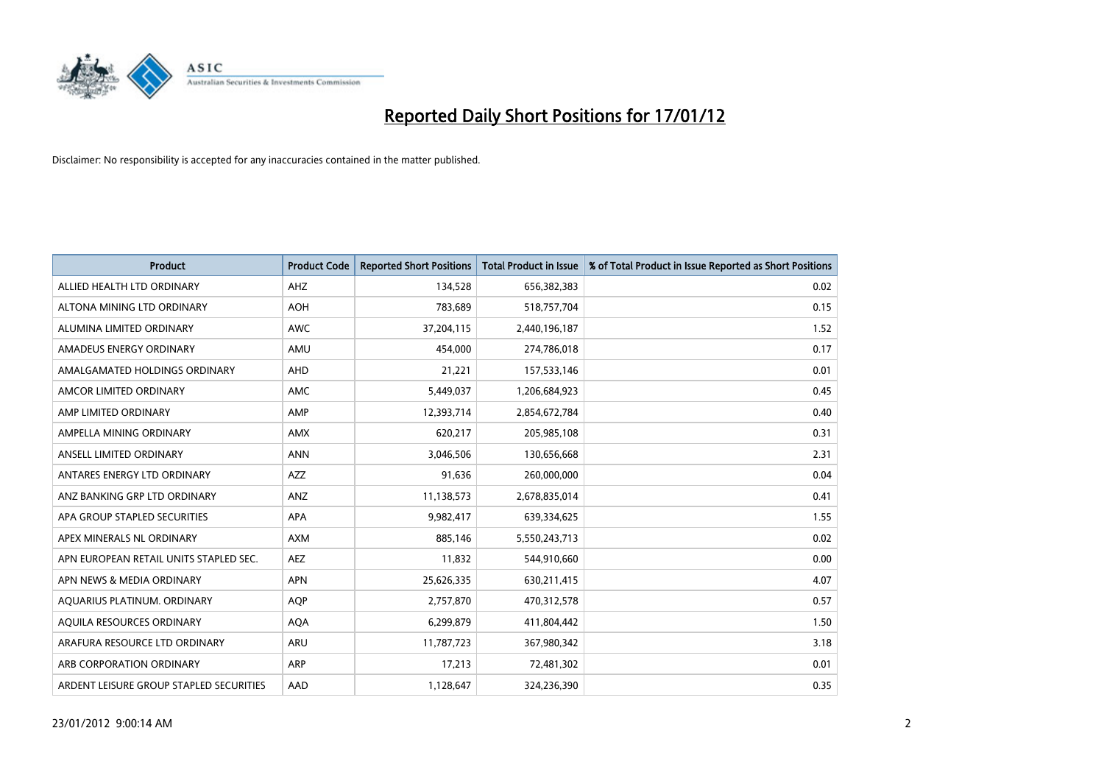

| <b>Product</b>                          | <b>Product Code</b> | <b>Reported Short Positions</b> | Total Product in Issue | % of Total Product in Issue Reported as Short Positions |
|-----------------------------------------|---------------------|---------------------------------|------------------------|---------------------------------------------------------|
| ALLIED HEALTH LTD ORDINARY              | AHZ                 | 134.528                         | 656,382,383            | 0.02                                                    |
| ALTONA MINING LTD ORDINARY              | <b>AOH</b>          | 783,689                         | 518,757,704            | 0.15                                                    |
| ALUMINA LIMITED ORDINARY                | <b>AWC</b>          | 37,204,115                      | 2,440,196,187          | 1.52                                                    |
| AMADEUS ENERGY ORDINARY                 | AMU                 | 454,000                         | 274,786,018            | 0.17                                                    |
| AMALGAMATED HOLDINGS ORDINARY           | AHD                 | 21,221                          | 157,533,146            | 0.01                                                    |
| AMCOR LIMITED ORDINARY                  | <b>AMC</b>          | 5,449,037                       | 1,206,684,923          | 0.45                                                    |
| AMP LIMITED ORDINARY                    | AMP                 | 12,393,714                      | 2,854,672,784          | 0.40                                                    |
| AMPELLA MINING ORDINARY                 | <b>AMX</b>          | 620,217                         | 205,985,108            | 0.31                                                    |
| ANSELL LIMITED ORDINARY                 | <b>ANN</b>          | 3,046,506                       | 130,656,668            | 2.31                                                    |
| ANTARES ENERGY LTD ORDINARY             | AZZ                 | 91,636                          | 260,000,000            | 0.04                                                    |
| ANZ BANKING GRP LTD ORDINARY            | ANZ                 | 11,138,573                      | 2,678,835,014          | 0.41                                                    |
| APA GROUP STAPLED SECURITIES            | <b>APA</b>          | 9,982,417                       | 639,334,625            | 1.55                                                    |
| APEX MINERALS NL ORDINARY               | <b>AXM</b>          | 885,146                         | 5,550,243,713          | 0.02                                                    |
| APN EUROPEAN RETAIL UNITS STAPLED SEC.  | <b>AEZ</b>          | 11,832                          | 544,910,660            | 0.00                                                    |
| APN NEWS & MEDIA ORDINARY               | <b>APN</b>          | 25,626,335                      | 630,211,415            | 4.07                                                    |
| AQUARIUS PLATINUM. ORDINARY             | <b>AQP</b>          | 2,757,870                       | 470,312,578            | 0.57                                                    |
| AQUILA RESOURCES ORDINARY               | <b>AQA</b>          | 6,299,879                       | 411,804,442            | 1.50                                                    |
| ARAFURA RESOURCE LTD ORDINARY           | <b>ARU</b>          | 11,787,723                      | 367,980,342            | 3.18                                                    |
| ARB CORPORATION ORDINARY                | ARP                 | 17,213                          | 72,481,302             | 0.01                                                    |
| ARDENT LEISURE GROUP STAPLED SECURITIES | AAD                 | 1,128,647                       | 324,236,390            | 0.35                                                    |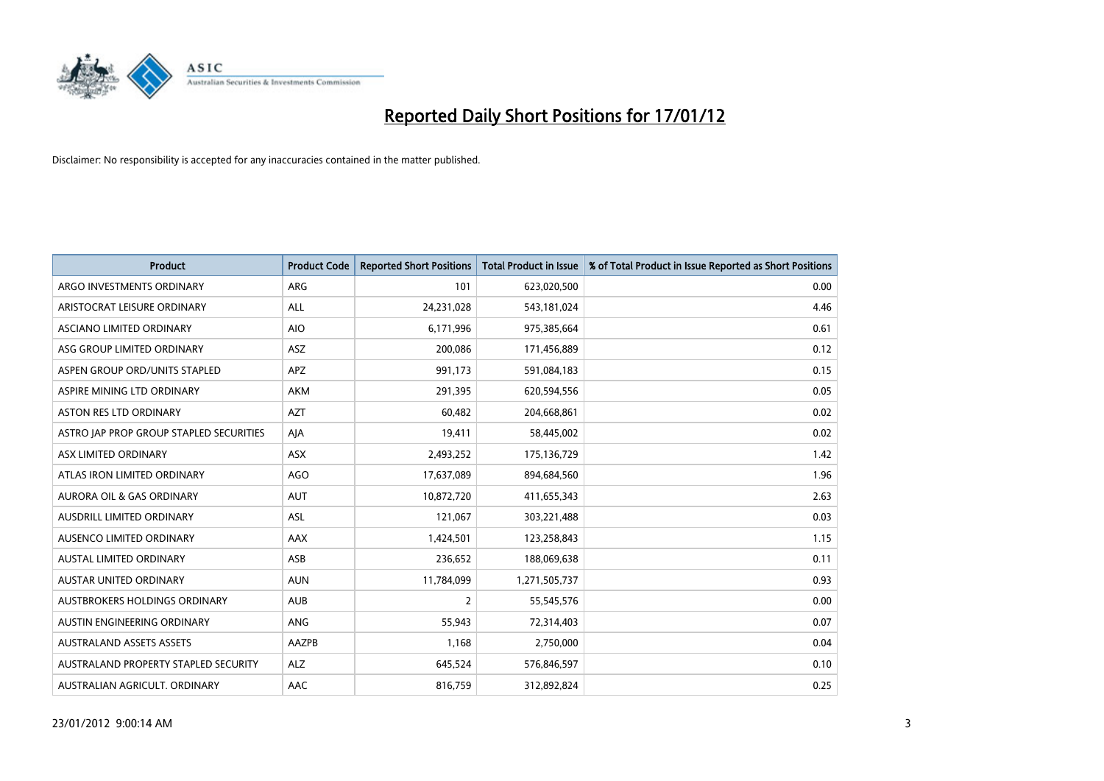

| <b>Product</b>                          | <b>Product Code</b> | <b>Reported Short Positions</b> | <b>Total Product in Issue</b> | % of Total Product in Issue Reported as Short Positions |
|-----------------------------------------|---------------------|---------------------------------|-------------------------------|---------------------------------------------------------|
| ARGO INVESTMENTS ORDINARY               | <b>ARG</b>          | 101                             | 623,020,500                   | 0.00                                                    |
| ARISTOCRAT LEISURE ORDINARY             | <b>ALL</b>          | 24,231,028                      | 543,181,024                   | 4.46                                                    |
| <b>ASCIANO LIMITED ORDINARY</b>         | <b>AIO</b>          | 6,171,996                       | 975,385,664                   | 0.61                                                    |
| ASG GROUP LIMITED ORDINARY              | ASZ                 | 200,086                         | 171,456,889                   | 0.12                                                    |
| ASPEN GROUP ORD/UNITS STAPLED           | <b>APZ</b>          | 991,173                         | 591,084,183                   | 0.15                                                    |
| ASPIRE MINING LTD ORDINARY              | <b>AKM</b>          | 291,395                         | 620,594,556                   | 0.05                                                    |
| ASTON RES LTD ORDINARY                  | <b>AZT</b>          | 60,482                          | 204,668,861                   | 0.02                                                    |
| ASTRO JAP PROP GROUP STAPLED SECURITIES | AIA                 | 19,411                          | 58,445,002                    | 0.02                                                    |
| ASX LIMITED ORDINARY                    | <b>ASX</b>          | 2,493,252                       | 175,136,729                   | 1.42                                                    |
| ATLAS IRON LIMITED ORDINARY             | AGO                 | 17,637,089                      | 894,684,560                   | 1.96                                                    |
| AURORA OIL & GAS ORDINARY               | <b>AUT</b>          | 10,872,720                      | 411,655,343                   | 2.63                                                    |
| <b>AUSDRILL LIMITED ORDINARY</b>        | <b>ASL</b>          | 121,067                         | 303,221,488                   | 0.03                                                    |
| AUSENCO LIMITED ORDINARY                | AAX                 | 1,424,501                       | 123,258,843                   | 1.15                                                    |
| <b>AUSTAL LIMITED ORDINARY</b>          | ASB                 | 236,652                         | 188,069,638                   | 0.11                                                    |
| <b>AUSTAR UNITED ORDINARY</b>           | <b>AUN</b>          | 11,784,099                      | 1,271,505,737                 | 0.93                                                    |
| AUSTBROKERS HOLDINGS ORDINARY           | <b>AUB</b>          | $\overline{2}$                  | 55,545,576                    | 0.00                                                    |
| AUSTIN ENGINEERING ORDINARY             | ANG                 | 55,943                          | 72,314,403                    | 0.07                                                    |
| <b>AUSTRALAND ASSETS ASSETS</b>         | AAZPB               | 1,168                           | 2,750,000                     | 0.04                                                    |
| AUSTRALAND PROPERTY STAPLED SECURITY    | <b>ALZ</b>          | 645,524                         | 576,846,597                   | 0.10                                                    |
| AUSTRALIAN AGRICULT. ORDINARY           | AAC                 | 816,759                         | 312,892,824                   | 0.25                                                    |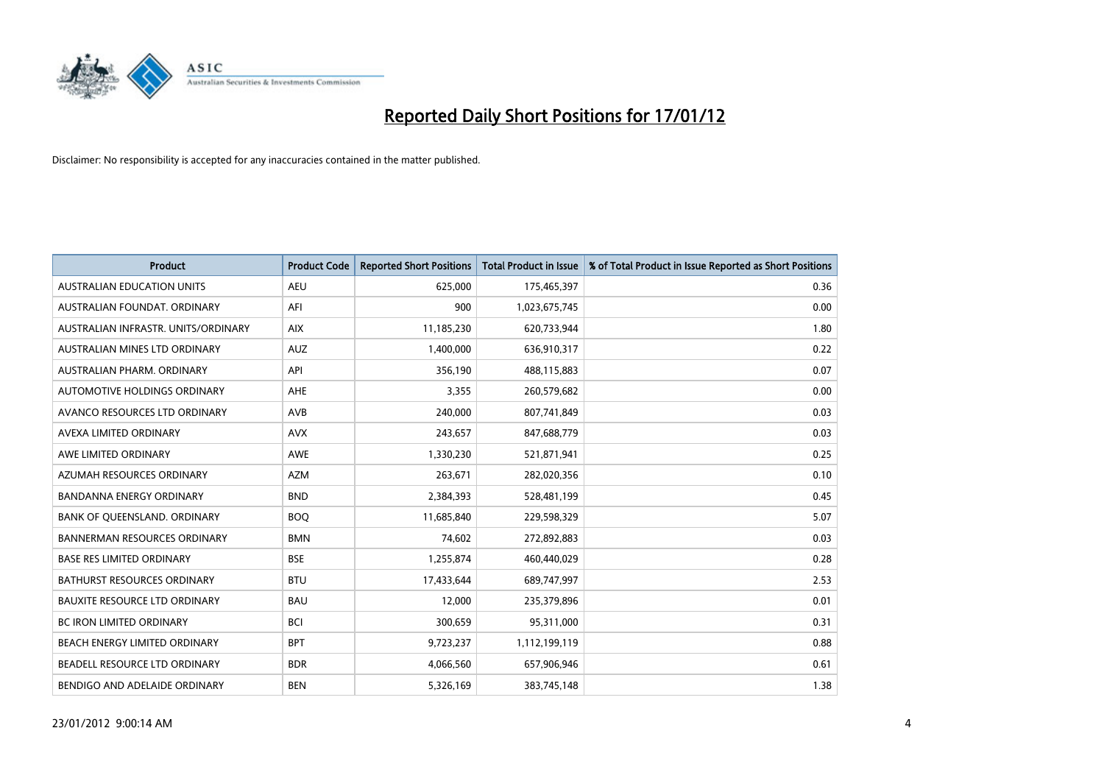

| <b>Product</b>                       | <b>Product Code</b> | <b>Reported Short Positions</b> | <b>Total Product in Issue</b> | % of Total Product in Issue Reported as Short Positions |
|--------------------------------------|---------------------|---------------------------------|-------------------------------|---------------------------------------------------------|
| <b>AUSTRALIAN EDUCATION UNITS</b>    | <b>AEU</b>          | 625,000                         | 175,465,397                   | 0.36                                                    |
| AUSTRALIAN FOUNDAT, ORDINARY         | AFI                 | 900                             | 1,023,675,745                 | 0.00                                                    |
| AUSTRALIAN INFRASTR, UNITS/ORDINARY  | <b>AIX</b>          | 11,185,230                      | 620,733,944                   | 1.80                                                    |
| AUSTRALIAN MINES LTD ORDINARY        | <b>AUZ</b>          | 1,400,000                       | 636,910,317                   | 0.22                                                    |
| AUSTRALIAN PHARM, ORDINARY           | API                 | 356,190                         | 488,115,883                   | 0.07                                                    |
| AUTOMOTIVE HOLDINGS ORDINARY         | <b>AHE</b>          | 3,355                           | 260,579,682                   | 0.00                                                    |
| AVANCO RESOURCES LTD ORDINARY        | AVB                 | 240,000                         | 807,741,849                   | 0.03                                                    |
| AVEXA LIMITED ORDINARY               | <b>AVX</b>          | 243,657                         | 847,688,779                   | 0.03                                                    |
| AWE LIMITED ORDINARY                 | <b>AWE</b>          | 1,330,230                       | 521,871,941                   | 0.25                                                    |
| AZUMAH RESOURCES ORDINARY            | <b>AZM</b>          | 263,671                         | 282,020,356                   | 0.10                                                    |
| <b>BANDANNA ENERGY ORDINARY</b>      | <b>BND</b>          | 2,384,393                       | 528,481,199                   | 0.45                                                    |
| BANK OF QUEENSLAND. ORDINARY         | <b>BOQ</b>          | 11,685,840                      | 229,598,329                   | 5.07                                                    |
| <b>BANNERMAN RESOURCES ORDINARY</b>  | <b>BMN</b>          | 74,602                          | 272,892,883                   | 0.03                                                    |
| <b>BASE RES LIMITED ORDINARY</b>     | <b>BSE</b>          | 1,255,874                       | 460,440,029                   | 0.28                                                    |
| <b>BATHURST RESOURCES ORDINARY</b>   | <b>BTU</b>          | 17,433,644                      | 689,747,997                   | 2.53                                                    |
| <b>BAUXITE RESOURCE LTD ORDINARY</b> | <b>BAU</b>          | 12,000                          | 235,379,896                   | 0.01                                                    |
| BC IRON LIMITED ORDINARY             | <b>BCI</b>          | 300,659                         | 95,311,000                    | 0.31                                                    |
| BEACH ENERGY LIMITED ORDINARY        | <b>BPT</b>          | 9,723,237                       | 1,112,199,119                 | 0.88                                                    |
| BEADELL RESOURCE LTD ORDINARY        | <b>BDR</b>          | 4,066,560                       | 657,906,946                   | 0.61                                                    |
| BENDIGO AND ADELAIDE ORDINARY        | <b>BEN</b>          | 5,326,169                       | 383,745,148                   | 1.38                                                    |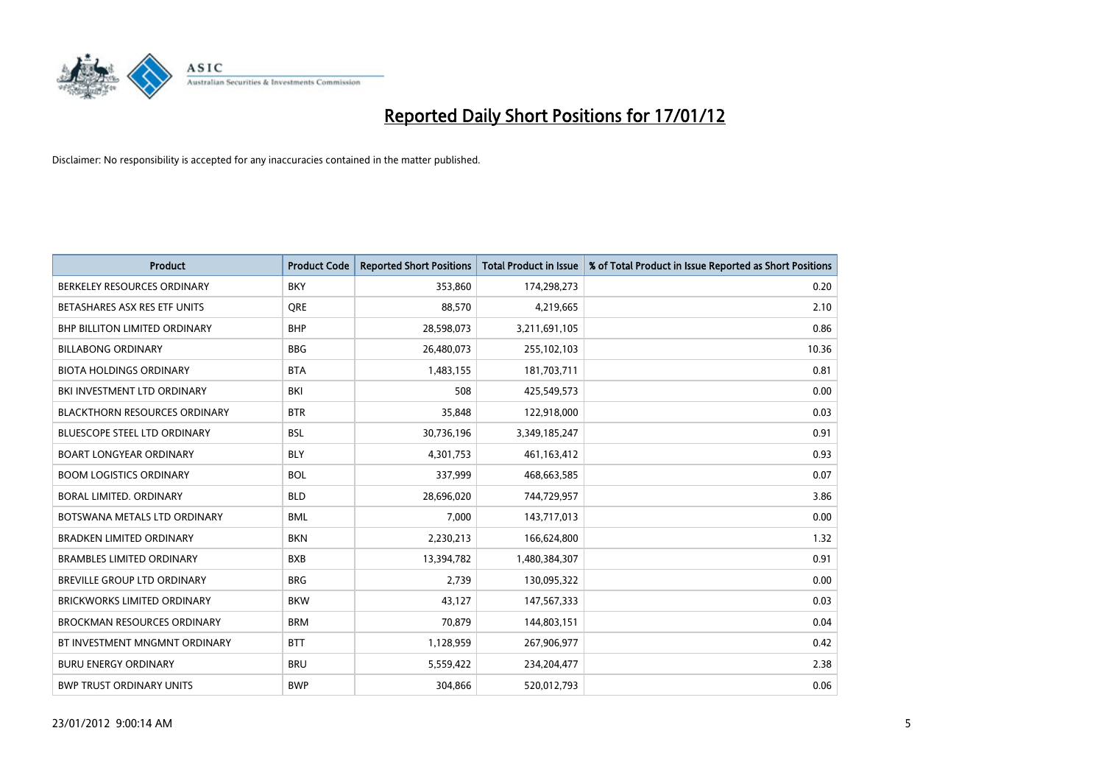

| <b>Product</b>                       | <b>Product Code</b> | <b>Reported Short Positions</b> | <b>Total Product in Issue</b> | % of Total Product in Issue Reported as Short Positions |
|--------------------------------------|---------------------|---------------------------------|-------------------------------|---------------------------------------------------------|
| BERKELEY RESOURCES ORDINARY          | <b>BKY</b>          | 353,860                         | 174,298,273                   | 0.20                                                    |
| BETASHARES ASX RES ETF UNITS         | <b>ORE</b>          | 88,570                          | 4,219,665                     | 2.10                                                    |
| <b>BHP BILLITON LIMITED ORDINARY</b> | <b>BHP</b>          | 28,598,073                      | 3,211,691,105                 | 0.86                                                    |
| <b>BILLABONG ORDINARY</b>            | <b>BBG</b>          | 26,480,073                      | 255,102,103                   | 10.36                                                   |
| <b>BIOTA HOLDINGS ORDINARY</b>       | <b>BTA</b>          | 1,483,155                       | 181,703,711                   | 0.81                                                    |
| BKI INVESTMENT LTD ORDINARY          | BKI                 | 508                             | 425,549,573                   | 0.00                                                    |
| <b>BLACKTHORN RESOURCES ORDINARY</b> | <b>BTR</b>          | 35,848                          | 122,918,000                   | 0.03                                                    |
| <b>BLUESCOPE STEEL LTD ORDINARY</b>  | <b>BSL</b>          | 30,736,196                      | 3,349,185,247                 | 0.91                                                    |
| <b>BOART LONGYEAR ORDINARY</b>       | <b>BLY</b>          | 4,301,753                       | 461,163,412                   | 0.93                                                    |
| <b>BOOM LOGISTICS ORDINARY</b>       | <b>BOL</b>          | 337,999                         | 468,663,585                   | 0.07                                                    |
| BORAL LIMITED. ORDINARY              | <b>BLD</b>          | 28,696,020                      | 744,729,957                   | 3.86                                                    |
| BOTSWANA METALS LTD ORDINARY         | <b>BML</b>          | 7.000                           | 143,717,013                   | 0.00                                                    |
| <b>BRADKEN LIMITED ORDINARY</b>      | <b>BKN</b>          | 2,230,213                       | 166,624,800                   | 1.32                                                    |
| <b>BRAMBLES LIMITED ORDINARY</b>     | <b>BXB</b>          | 13,394,782                      | 1,480,384,307                 | 0.91                                                    |
| <b>BREVILLE GROUP LTD ORDINARY</b>   | <b>BRG</b>          | 2,739                           | 130,095,322                   | 0.00                                                    |
| BRICKWORKS LIMITED ORDINARY          | <b>BKW</b>          | 43,127                          | 147,567,333                   | 0.03                                                    |
| <b>BROCKMAN RESOURCES ORDINARY</b>   | <b>BRM</b>          | 70,879                          | 144,803,151                   | 0.04                                                    |
| BT INVESTMENT MNGMNT ORDINARY        | <b>BTT</b>          | 1,128,959                       | 267,906,977                   | 0.42                                                    |
| <b>BURU ENERGY ORDINARY</b>          | <b>BRU</b>          | 5,559,422                       | 234,204,477                   | 2.38                                                    |
| <b>BWP TRUST ORDINARY UNITS</b>      | <b>BWP</b>          | 304.866                         | 520,012,793                   | 0.06                                                    |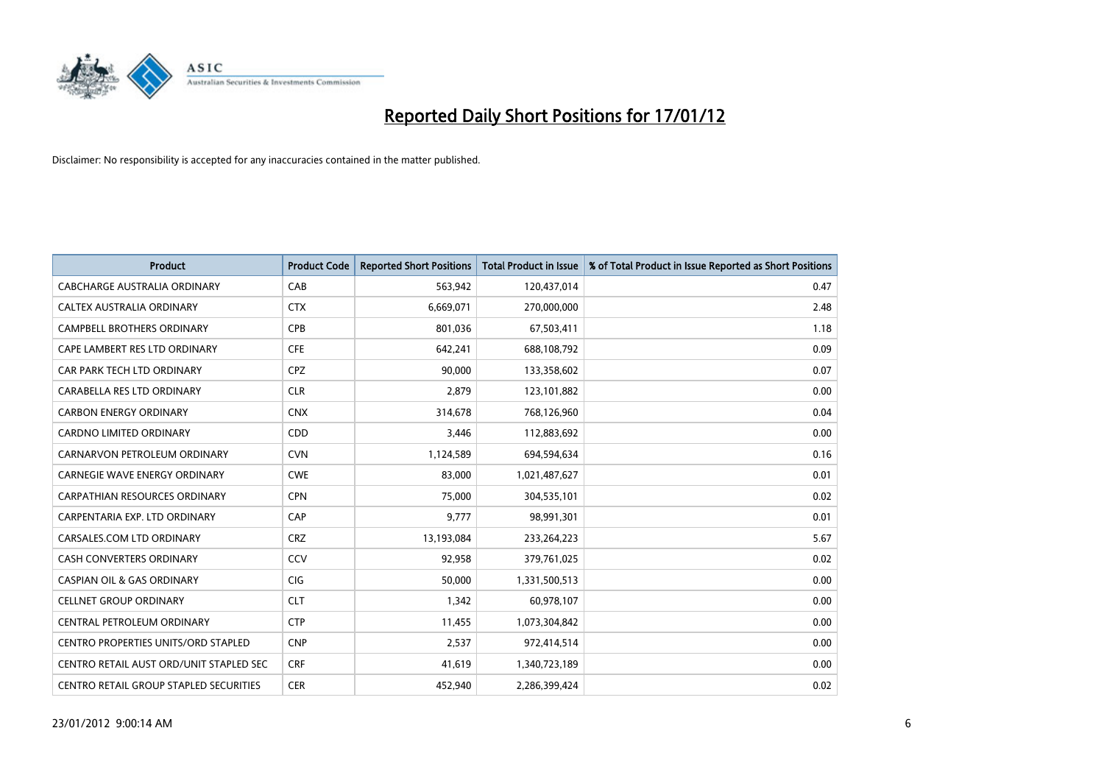

| <b>Product</b>                          | <b>Product Code</b> | <b>Reported Short Positions</b> | <b>Total Product in Issue</b> | % of Total Product in Issue Reported as Short Positions |
|-----------------------------------------|---------------------|---------------------------------|-------------------------------|---------------------------------------------------------|
| CABCHARGE AUSTRALIA ORDINARY            | CAB                 | 563,942                         | 120,437,014                   | 0.47                                                    |
| CALTEX AUSTRALIA ORDINARY               | <b>CTX</b>          | 6,669,071                       | 270,000,000                   | 2.48                                                    |
| <b>CAMPBELL BROTHERS ORDINARY</b>       | <b>CPB</b>          | 801,036                         | 67,503,411                    | 1.18                                                    |
| CAPE LAMBERT RES LTD ORDINARY           | <b>CFE</b>          | 642,241                         | 688,108,792                   | 0.09                                                    |
| CAR PARK TECH LTD ORDINARY              | <b>CPZ</b>          | 90,000                          | 133,358,602                   | 0.07                                                    |
| CARABELLA RES LTD ORDINARY              | <b>CLR</b>          | 2,879                           | 123,101,882                   | 0.00                                                    |
| <b>CARBON ENERGY ORDINARY</b>           | <b>CNX</b>          | 314,678                         | 768,126,960                   | 0.04                                                    |
| CARDNO LIMITED ORDINARY                 | CDD                 | 3,446                           | 112,883,692                   | 0.00                                                    |
| CARNARVON PETROLEUM ORDINARY            | <b>CVN</b>          | 1,124,589                       | 694,594,634                   | 0.16                                                    |
| CARNEGIE WAVE ENERGY ORDINARY           | <b>CWE</b>          | 83,000                          | 1,021,487,627                 | 0.01                                                    |
| CARPATHIAN RESOURCES ORDINARY           | <b>CPN</b>          | 75,000                          | 304,535,101                   | 0.02                                                    |
| CARPENTARIA EXP. LTD ORDINARY           | CAP                 | 9,777                           | 98,991,301                    | 0.01                                                    |
| CARSALES.COM LTD ORDINARY               | <b>CRZ</b>          | 13,193,084                      | 233, 264, 223                 | 5.67                                                    |
| <b>CASH CONVERTERS ORDINARY</b>         | CCV                 | 92,958                          | 379,761,025                   | 0.02                                                    |
| <b>CASPIAN OIL &amp; GAS ORDINARY</b>   | <b>CIG</b>          | 50,000                          | 1,331,500,513                 | 0.00                                                    |
| <b>CELLNET GROUP ORDINARY</b>           | <b>CLT</b>          | 1,342                           | 60,978,107                    | 0.00                                                    |
| CENTRAL PETROLEUM ORDINARY              | <b>CTP</b>          | 11,455                          | 1,073,304,842                 | 0.00                                                    |
| CENTRO PROPERTIES UNITS/ORD STAPLED     | <b>CNP</b>          | 2,537                           | 972,414,514                   | 0.00                                                    |
| CENTRO RETAIL AUST ORD/UNIT STAPLED SEC | <b>CRF</b>          | 41,619                          | 1,340,723,189                 | 0.00                                                    |
| CENTRO RETAIL GROUP STAPLED SECURITIES  | <b>CER</b>          | 452,940                         | 2,286,399,424                 | 0.02                                                    |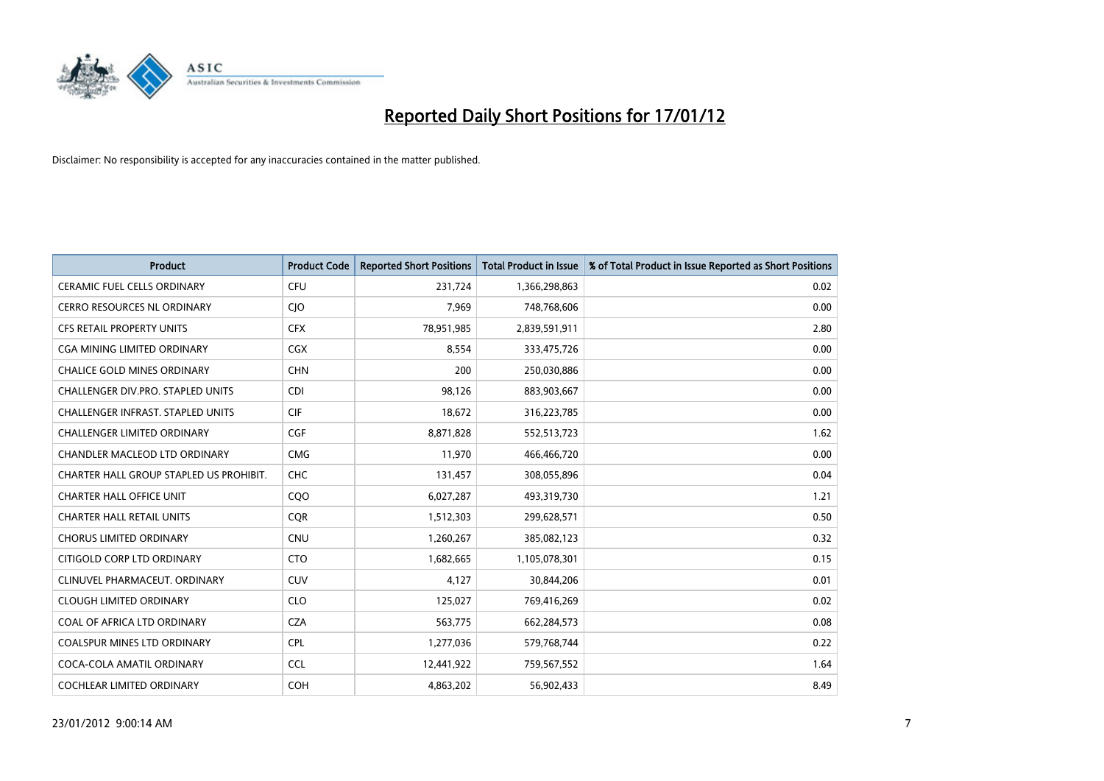

| <b>Product</b>                           | <b>Product Code</b> | <b>Reported Short Positions</b> | <b>Total Product in Issue</b> | % of Total Product in Issue Reported as Short Positions |
|------------------------------------------|---------------------|---------------------------------|-------------------------------|---------------------------------------------------------|
| <b>CERAMIC FUEL CELLS ORDINARY</b>       | <b>CFU</b>          | 231,724                         | 1,366,298,863                 | 0.02                                                    |
| <b>CERRO RESOURCES NL ORDINARY</b>       | <b>CIO</b>          | 7,969                           | 748,768,606                   | 0.00                                                    |
| <b>CFS RETAIL PROPERTY UNITS</b>         | <b>CFX</b>          | 78,951,985                      | 2,839,591,911                 | 2.80                                                    |
| CGA MINING LIMITED ORDINARY              | <b>CGX</b>          | 8,554                           | 333,475,726                   | 0.00                                                    |
| <b>CHALICE GOLD MINES ORDINARY</b>       | <b>CHN</b>          | 200                             | 250,030,886                   | 0.00                                                    |
| <b>CHALLENGER DIV.PRO. STAPLED UNITS</b> | <b>CDI</b>          | 98,126                          | 883,903,667                   | 0.00                                                    |
| <b>CHALLENGER INFRAST, STAPLED UNITS</b> | <b>CIF</b>          | 18,672                          | 316,223,785                   | 0.00                                                    |
| <b>CHALLENGER LIMITED ORDINARY</b>       | CGF                 | 8,871,828                       | 552,513,723                   | 1.62                                                    |
| CHANDLER MACLEOD LTD ORDINARY            | <b>CMG</b>          | 11,970                          | 466,466,720                   | 0.00                                                    |
| CHARTER HALL GROUP STAPLED US PROHIBIT.  | <b>CHC</b>          | 131,457                         | 308,055,896                   | 0.04                                                    |
| <b>CHARTER HALL OFFICE UNIT</b>          | COO                 | 6,027,287                       | 493,319,730                   | 1.21                                                    |
| <b>CHARTER HALL RETAIL UNITS</b>         | <b>CQR</b>          | 1,512,303                       | 299,628,571                   | 0.50                                                    |
| <b>CHORUS LIMITED ORDINARY</b>           | CNU                 | 1,260,267                       | 385,082,123                   | 0.32                                                    |
| CITIGOLD CORP LTD ORDINARY               | <b>CTO</b>          | 1,682,665                       | 1,105,078,301                 | 0.15                                                    |
| CLINUVEL PHARMACEUT, ORDINARY            | <b>CUV</b>          | 4,127                           | 30,844,206                    | 0.01                                                    |
| <b>CLOUGH LIMITED ORDINARY</b>           | <b>CLO</b>          | 125,027                         | 769,416,269                   | 0.02                                                    |
| COAL OF AFRICA LTD ORDINARY              | <b>CZA</b>          | 563,775                         | 662,284,573                   | 0.08                                                    |
| <b>COALSPUR MINES LTD ORDINARY</b>       | <b>CPL</b>          | 1,277,036                       | 579,768,744                   | 0.22                                                    |
| COCA-COLA AMATIL ORDINARY                | <b>CCL</b>          | 12,441,922                      | 759,567,552                   | 1.64                                                    |
| <b>COCHLEAR LIMITED ORDINARY</b>         | <b>COH</b>          | 4,863,202                       | 56,902,433                    | 8.49                                                    |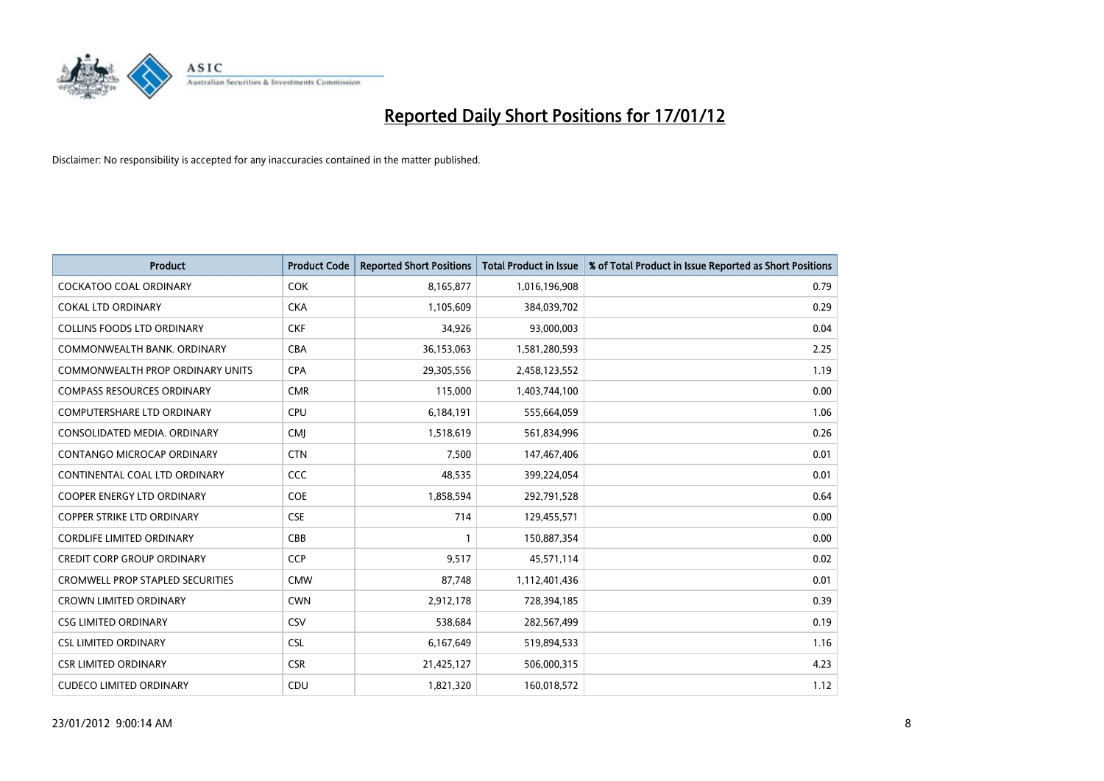

| <b>Product</b>                          | <b>Product Code</b> | <b>Reported Short Positions</b> | <b>Total Product in Issue</b> | % of Total Product in Issue Reported as Short Positions |
|-----------------------------------------|---------------------|---------------------------------|-------------------------------|---------------------------------------------------------|
| <b>COCKATOO COAL ORDINARY</b>           | <b>COK</b>          | 8,165,877                       | 1,016,196,908                 | 0.79                                                    |
| <b>COKAL LTD ORDINARY</b>               | <b>CKA</b>          | 1,105,609                       | 384,039,702                   | 0.29                                                    |
| <b>COLLINS FOODS LTD ORDINARY</b>       | <b>CKF</b>          | 34,926                          | 93,000,003                    | 0.04                                                    |
| COMMONWEALTH BANK, ORDINARY             | <b>CBA</b>          | 36,153,063                      | 1,581,280,593                 | 2.25                                                    |
| <b>COMMONWEALTH PROP ORDINARY UNITS</b> | <b>CPA</b>          | 29,305,556                      | 2,458,123,552                 | 1.19                                                    |
| <b>COMPASS RESOURCES ORDINARY</b>       | <b>CMR</b>          | 115,000                         | 1,403,744,100                 | 0.00                                                    |
| <b>COMPUTERSHARE LTD ORDINARY</b>       | <b>CPU</b>          | 6,184,191                       | 555,664,059                   | 1.06                                                    |
| CONSOLIDATED MEDIA. ORDINARY            | <b>CMI</b>          | 1,518,619                       | 561,834,996                   | 0.26                                                    |
| CONTANGO MICROCAP ORDINARY              | <b>CTN</b>          | 7,500                           | 147,467,406                   | 0.01                                                    |
| CONTINENTAL COAL LTD ORDINARY           | <b>CCC</b>          | 48,535                          | 399,224,054                   | 0.01                                                    |
| COOPER ENERGY LTD ORDINARY              | <b>COE</b>          | 1,858,594                       | 292,791,528                   | 0.64                                                    |
| <b>COPPER STRIKE LTD ORDINARY</b>       | <b>CSE</b>          | 714                             | 129,455,571                   | 0.00                                                    |
| <b>CORDLIFE LIMITED ORDINARY</b>        | CBB                 |                                 | 150,887,354                   | 0.00                                                    |
| <b>CREDIT CORP GROUP ORDINARY</b>       | <b>CCP</b>          | 9,517                           | 45,571,114                    | 0.02                                                    |
| <b>CROMWELL PROP STAPLED SECURITIES</b> | <b>CMW</b>          | 87,748                          | 1,112,401,436                 | 0.01                                                    |
| <b>CROWN LIMITED ORDINARY</b>           | <b>CWN</b>          | 2,912,178                       | 728,394,185                   | 0.39                                                    |
| <b>CSG LIMITED ORDINARY</b>             | CSV                 | 538,684                         | 282,567,499                   | 0.19                                                    |
| <b>CSL LIMITED ORDINARY</b>             | <b>CSL</b>          | 6,167,649                       | 519,894,533                   | 1.16                                                    |
| <b>CSR LIMITED ORDINARY</b>             | <b>CSR</b>          | 21,425,127                      | 506,000,315                   | 4.23                                                    |
| <b>CUDECO LIMITED ORDINARY</b>          | CDU                 | 1,821,320                       | 160,018,572                   | 1.12                                                    |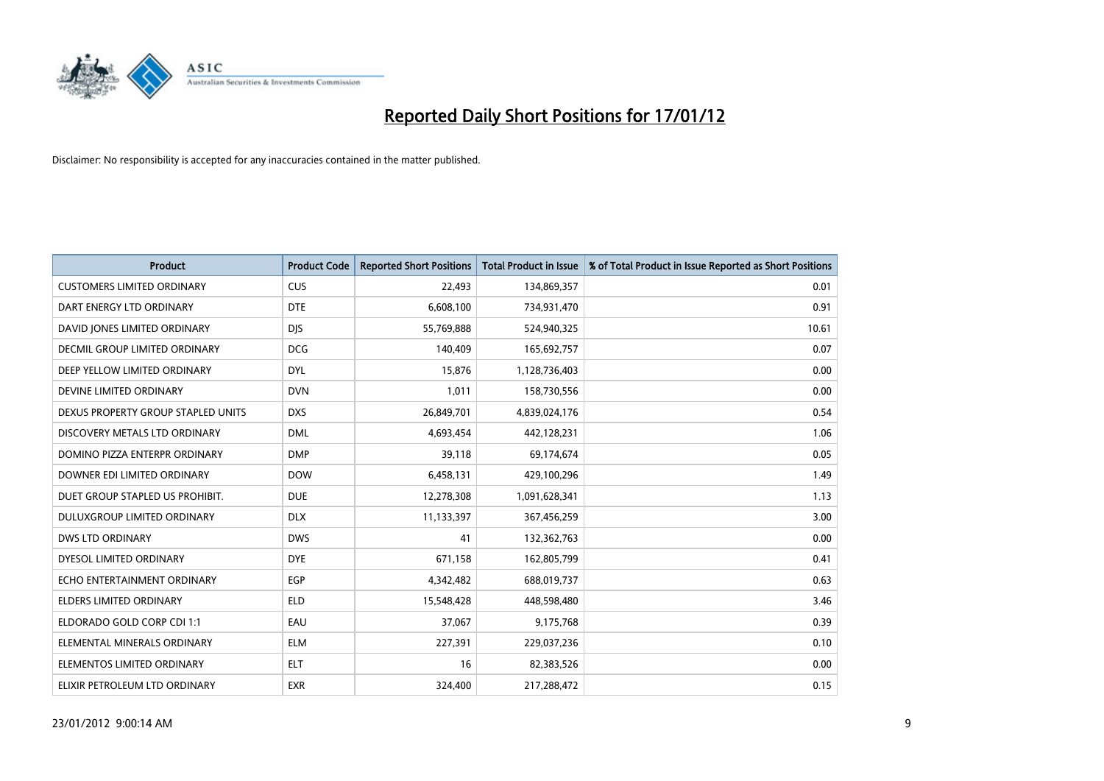

| <b>Product</b>                       | <b>Product Code</b> | <b>Reported Short Positions</b> | <b>Total Product in Issue</b> | % of Total Product in Issue Reported as Short Positions |
|--------------------------------------|---------------------|---------------------------------|-------------------------------|---------------------------------------------------------|
| <b>CUSTOMERS LIMITED ORDINARY</b>    | <b>CUS</b>          | 22,493                          | 134,869,357                   | 0.01                                                    |
| DART ENERGY LTD ORDINARY             | <b>DTE</b>          | 6,608,100                       | 734,931,470                   | 0.91                                                    |
| DAVID JONES LIMITED ORDINARY         | <b>DIS</b>          | 55,769,888                      | 524,940,325                   | 10.61                                                   |
| <b>DECMIL GROUP LIMITED ORDINARY</b> | <b>DCG</b>          | 140,409                         | 165,692,757                   | 0.07                                                    |
| DEEP YELLOW LIMITED ORDINARY         | <b>DYL</b>          | 15,876                          | 1,128,736,403                 | 0.00                                                    |
| DEVINE LIMITED ORDINARY              | <b>DVN</b>          | 1,011                           | 158,730,556                   | 0.00                                                    |
| DEXUS PROPERTY GROUP STAPLED UNITS   | <b>DXS</b>          | 26,849,701                      | 4,839,024,176                 | 0.54                                                    |
| DISCOVERY METALS LTD ORDINARY        | <b>DML</b>          | 4,693,454                       | 442,128,231                   | 1.06                                                    |
| DOMINO PIZZA ENTERPR ORDINARY        | <b>DMP</b>          | 39,118                          | 69,174,674                    | 0.05                                                    |
| DOWNER EDI LIMITED ORDINARY          | <b>DOW</b>          | 6,458,131                       | 429,100,296                   | 1.49                                                    |
| DUET GROUP STAPLED US PROHIBIT.      | <b>DUE</b>          | 12,278,308                      | 1,091,628,341                 | 1.13                                                    |
| <b>DULUXGROUP LIMITED ORDINARY</b>   | <b>DLX</b>          | 11,133,397                      | 367,456,259                   | 3.00                                                    |
| <b>DWS LTD ORDINARY</b>              | <b>DWS</b>          | 41                              | 132,362,763                   | 0.00                                                    |
| DYESOL LIMITED ORDINARY              | <b>DYE</b>          | 671,158                         | 162,805,799                   | 0.41                                                    |
| ECHO ENTERTAINMENT ORDINARY          | EGP                 | 4,342,482                       | 688,019,737                   | 0.63                                                    |
| ELDERS LIMITED ORDINARY              | <b>ELD</b>          | 15,548,428                      | 448,598,480                   | 3.46                                                    |
| ELDORADO GOLD CORP CDI 1:1           | EAU                 | 37,067                          | 9,175,768                     | 0.39                                                    |
| ELEMENTAL MINERALS ORDINARY          | <b>ELM</b>          | 227,391                         | 229,037,236                   | 0.10                                                    |
| ELEMENTOS LIMITED ORDINARY           | <b>ELT</b>          | 16                              | 82,383,526                    | 0.00                                                    |
| ELIXIR PETROLEUM LTD ORDINARY        | <b>EXR</b>          | 324,400                         | 217,288,472                   | 0.15                                                    |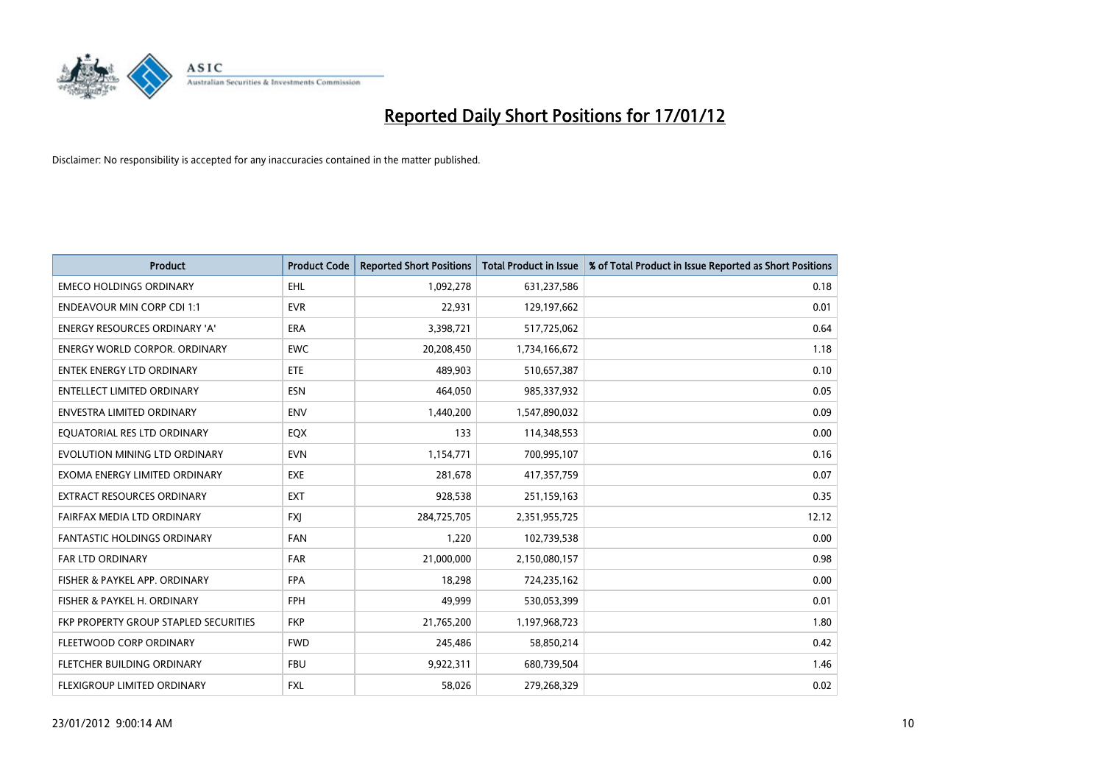

| <b>Product</b>                               | <b>Product Code</b> | <b>Reported Short Positions</b> | <b>Total Product in Issue</b> | % of Total Product in Issue Reported as Short Positions |
|----------------------------------------------|---------------------|---------------------------------|-------------------------------|---------------------------------------------------------|
| <b>EMECO HOLDINGS ORDINARY</b>               | <b>EHL</b>          | 1,092,278                       | 631,237,586                   | 0.18                                                    |
| <b>ENDEAVOUR MIN CORP CDI 1:1</b>            | <b>EVR</b>          | 22,931                          | 129,197,662                   | 0.01                                                    |
| <b>ENERGY RESOURCES ORDINARY 'A'</b>         | <b>ERA</b>          | 3,398,721                       | 517,725,062                   | 0.64                                                    |
| <b>ENERGY WORLD CORPOR. ORDINARY</b>         | <b>EWC</b>          | 20,208,450                      | 1,734,166,672                 | 1.18                                                    |
| ENTEK ENERGY LTD ORDINARY                    | <b>ETE</b>          | 489.903                         | 510,657,387                   | 0.10                                                    |
| <b>ENTELLECT LIMITED ORDINARY</b>            | <b>ESN</b>          | 464,050                         | 985,337,932                   | 0.05                                                    |
| <b>ENVESTRA LIMITED ORDINARY</b>             | <b>ENV</b>          | 1,440,200                       | 1,547,890,032                 | 0.09                                                    |
| EQUATORIAL RES LTD ORDINARY                  | EQX                 | 133                             | 114,348,553                   | 0.00                                                    |
| EVOLUTION MINING LTD ORDINARY                | <b>EVN</b>          | 1,154,771                       | 700,995,107                   | 0.16                                                    |
| EXOMA ENERGY LIMITED ORDINARY                | <b>EXE</b>          | 281,678                         | 417,357,759                   | 0.07                                                    |
| <b>EXTRACT RESOURCES ORDINARY</b>            | <b>EXT</b>          | 928,538                         | 251,159,163                   | 0.35                                                    |
| FAIRFAX MEDIA LTD ORDINARY                   | <b>FXI</b>          | 284,725,705                     | 2,351,955,725                 | 12.12                                                   |
| <b>FANTASTIC HOLDINGS ORDINARY</b>           | <b>FAN</b>          | 1,220                           | 102,739,538                   | 0.00                                                    |
| <b>FAR LTD ORDINARY</b>                      | <b>FAR</b>          | 21,000,000                      | 2,150,080,157                 | 0.98                                                    |
| FISHER & PAYKEL APP. ORDINARY                | <b>FPA</b>          | 18,298                          | 724,235,162                   | 0.00                                                    |
| FISHER & PAYKEL H. ORDINARY                  | <b>FPH</b>          | 49,999                          | 530,053,399                   | 0.01                                                    |
| <b>FKP PROPERTY GROUP STAPLED SECURITIES</b> | <b>FKP</b>          | 21,765,200                      | 1,197,968,723                 | 1.80                                                    |
| FLEETWOOD CORP ORDINARY                      | <b>FWD</b>          | 245,486                         | 58,850,214                    | 0.42                                                    |
| FLETCHER BUILDING ORDINARY                   | <b>FBU</b>          | 9,922,311                       | 680,739,504                   | 1.46                                                    |
| FLEXIGROUP LIMITED ORDINARY                  | <b>FXL</b>          | 58.026                          | 279,268,329                   | 0.02                                                    |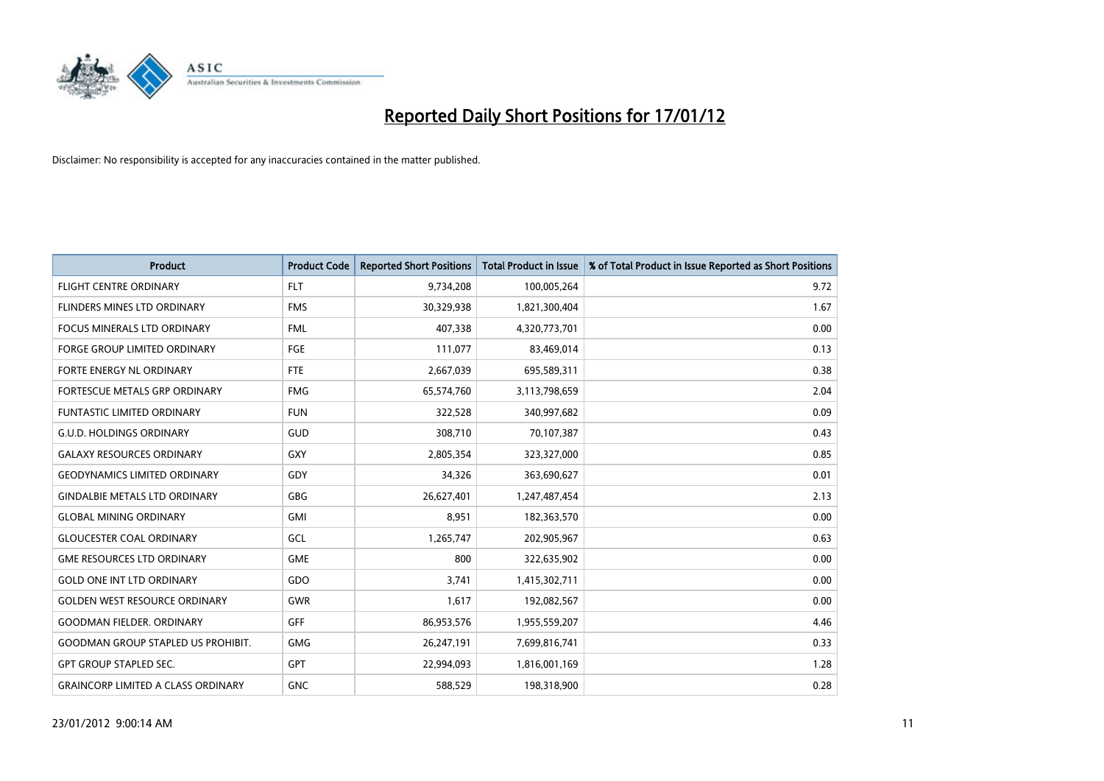

| <b>Product</b>                            | <b>Product Code</b> | <b>Reported Short Positions</b> | <b>Total Product in Issue</b> | % of Total Product in Issue Reported as Short Positions |
|-------------------------------------------|---------------------|---------------------------------|-------------------------------|---------------------------------------------------------|
| <b>FLIGHT CENTRE ORDINARY</b>             | FLT.                | 9,734,208                       | 100,005,264                   | 9.72                                                    |
| FLINDERS MINES LTD ORDINARY               | <b>FMS</b>          | 30,329,938                      | 1,821,300,404                 | 1.67                                                    |
| <b>FOCUS MINERALS LTD ORDINARY</b>        | <b>FML</b>          | 407,338                         | 4,320,773,701                 | 0.00                                                    |
| FORGE GROUP LIMITED ORDINARY              | FGE                 | 111,077                         | 83,469,014                    | 0.13                                                    |
| FORTE ENERGY NL ORDINARY                  | <b>FTE</b>          | 2,667,039                       | 695,589,311                   | 0.38                                                    |
| FORTESCUE METALS GRP ORDINARY             | <b>FMG</b>          | 65,574,760                      | 3,113,798,659                 | 2.04                                                    |
| <b>FUNTASTIC LIMITED ORDINARY</b>         | <b>FUN</b>          | 322,528                         | 340,997,682                   | 0.09                                                    |
| <b>G.U.D. HOLDINGS ORDINARY</b>           | GUD                 | 308,710                         | 70,107,387                    | 0.43                                                    |
| <b>GALAXY RESOURCES ORDINARY</b>          | <b>GXY</b>          | 2,805,354                       | 323,327,000                   | 0.85                                                    |
| <b>GEODYNAMICS LIMITED ORDINARY</b>       | GDY                 | 34,326                          | 363,690,627                   | 0.01                                                    |
| <b>GINDALBIE METALS LTD ORDINARY</b>      | <b>GBG</b>          | 26,627,401                      | 1,247,487,454                 | 2.13                                                    |
| <b>GLOBAL MINING ORDINARY</b>             | <b>GMI</b>          | 8,951                           | 182,363,570                   | 0.00                                                    |
| <b>GLOUCESTER COAL ORDINARY</b>           | GCL                 | 1,265,747                       | 202,905,967                   | 0.63                                                    |
| <b>GME RESOURCES LTD ORDINARY</b>         | <b>GME</b>          | 800                             | 322,635,902                   | 0.00                                                    |
| <b>GOLD ONE INT LTD ORDINARY</b>          | GDO                 | 3,741                           | 1,415,302,711                 | 0.00                                                    |
| <b>GOLDEN WEST RESOURCE ORDINARY</b>      | <b>GWR</b>          | 1,617                           | 192,082,567                   | 0.00                                                    |
| <b>GOODMAN FIELDER, ORDINARY</b>          | <b>GFF</b>          | 86,953,576                      | 1,955,559,207                 | 4.46                                                    |
| <b>GOODMAN GROUP STAPLED US PROHIBIT.</b> | <b>GMG</b>          | 26,247,191                      | 7,699,816,741                 | 0.33                                                    |
| <b>GPT GROUP STAPLED SEC.</b>             | <b>GPT</b>          | 22,994,093                      | 1,816,001,169                 | 1.28                                                    |
| <b>GRAINCORP LIMITED A CLASS ORDINARY</b> | <b>GNC</b>          | 588.529                         | 198,318,900                   | 0.28                                                    |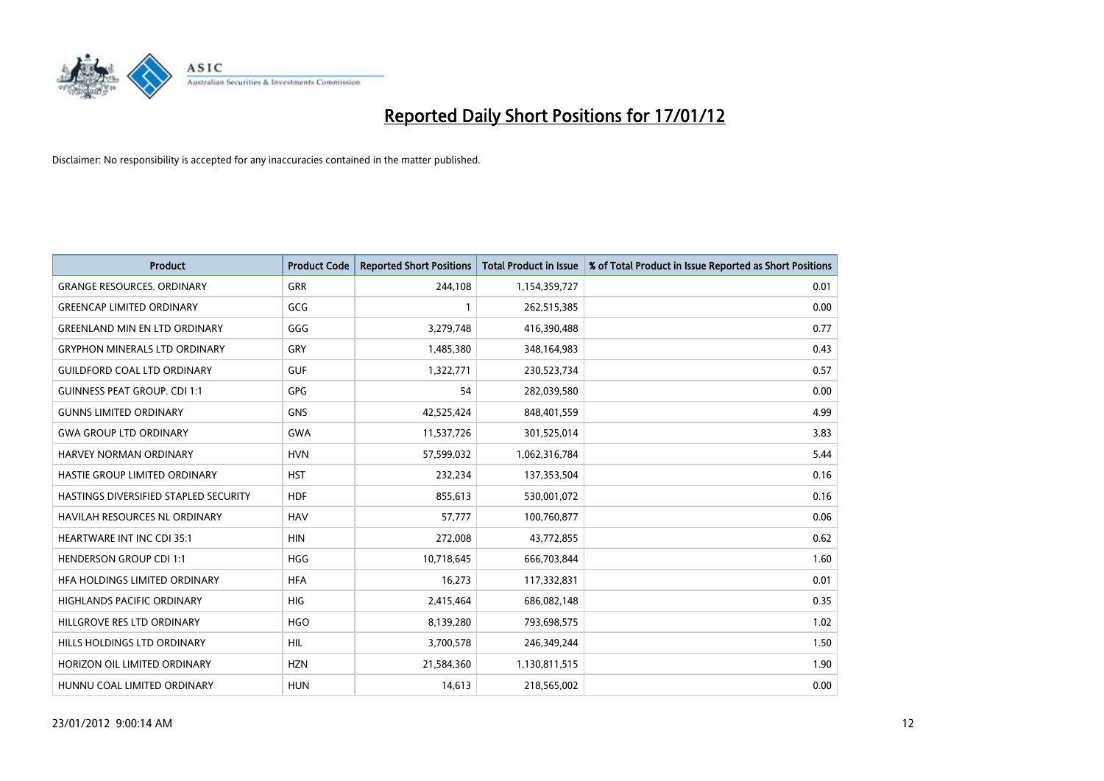

| <b>Product</b>                        | <b>Product Code</b> | <b>Reported Short Positions</b> | <b>Total Product in Issue</b> | % of Total Product in Issue Reported as Short Positions |
|---------------------------------------|---------------------|---------------------------------|-------------------------------|---------------------------------------------------------|
| <b>GRANGE RESOURCES, ORDINARY</b>     | GRR                 | 244,108                         | 1,154,359,727                 | 0.01                                                    |
| <b>GREENCAP LIMITED ORDINARY</b>      | GCG                 |                                 | 262,515,385                   | 0.00                                                    |
| <b>GREENLAND MIN EN LTD ORDINARY</b>  | GGG                 | 3,279,748                       | 416,390,488                   | 0.77                                                    |
| <b>GRYPHON MINERALS LTD ORDINARY</b>  | GRY                 | 1,485,380                       | 348,164,983                   | 0.43                                                    |
| <b>GUILDFORD COAL LTD ORDINARY</b>    | <b>GUF</b>          | 1,322,771                       | 230,523,734                   | 0.57                                                    |
| <b>GUINNESS PEAT GROUP. CDI 1:1</b>   | <b>GPG</b>          | 54                              | 282,039,580                   | 0.00                                                    |
| <b>GUNNS LIMITED ORDINARY</b>         | <b>GNS</b>          | 42,525,424                      | 848,401,559                   | 4.99                                                    |
| <b>GWA GROUP LTD ORDINARY</b>         | <b>GWA</b>          | 11,537,726                      | 301,525,014                   | 3.83                                                    |
| HARVEY NORMAN ORDINARY                | <b>HVN</b>          | 57,599,032                      | 1,062,316,784                 | 5.44                                                    |
| HASTIE GROUP LIMITED ORDINARY         | <b>HST</b>          | 232,234                         | 137,353,504                   | 0.16                                                    |
| HASTINGS DIVERSIFIED STAPLED SECURITY | <b>HDF</b>          | 855,613                         | 530,001,072                   | 0.16                                                    |
| HAVILAH RESOURCES NL ORDINARY         | <b>HAV</b>          | 57,777                          | 100,760,877                   | 0.06                                                    |
| HEARTWARE INT INC CDI 35:1            | <b>HIN</b>          | 272,008                         | 43,772,855                    | 0.62                                                    |
| <b>HENDERSON GROUP CDI 1:1</b>        | <b>HGG</b>          | 10,718,645                      | 666,703,844                   | 1.60                                                    |
| HFA HOLDINGS LIMITED ORDINARY         | <b>HFA</b>          | 16,273                          | 117,332,831                   | 0.01                                                    |
| HIGHLANDS PACIFIC ORDINARY            | <b>HIG</b>          | 2,415,464                       | 686,082,148                   | 0.35                                                    |
| HILLGROVE RES LTD ORDINARY            | <b>HGO</b>          | 8,139,280                       | 793,698,575                   | 1.02                                                    |
| HILLS HOLDINGS LTD ORDINARY           | <b>HIL</b>          | 3,700,578                       | 246,349,244                   | 1.50                                                    |
| HORIZON OIL LIMITED ORDINARY          | <b>HZN</b>          | 21,584,360                      | 1,130,811,515                 | 1.90                                                    |
| HUNNU COAL LIMITED ORDINARY           | <b>HUN</b>          | 14,613                          | 218,565,002                   | 0.00                                                    |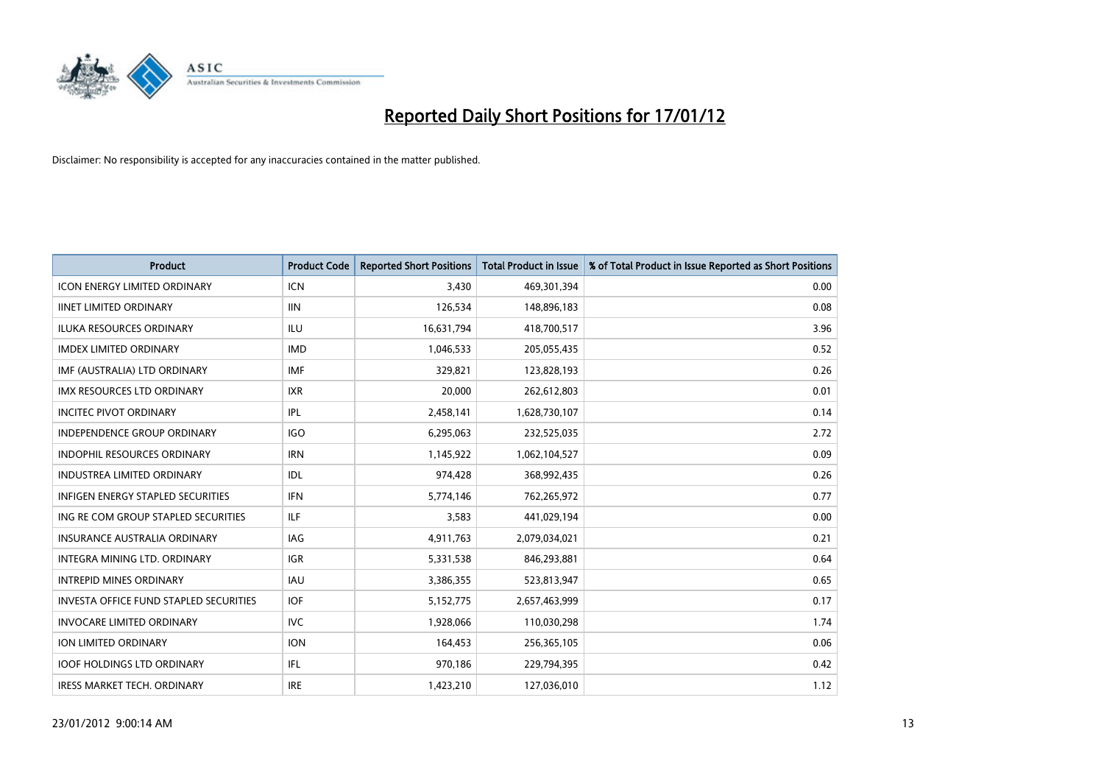

| <b>Product</b>                         | <b>Product Code</b> | <b>Reported Short Positions</b> | <b>Total Product in Issue</b> | % of Total Product in Issue Reported as Short Positions |
|----------------------------------------|---------------------|---------------------------------|-------------------------------|---------------------------------------------------------|
| <b>ICON ENERGY LIMITED ORDINARY</b>    | <b>ICN</b>          | 3,430                           | 469,301,394                   | 0.00                                                    |
| <b>IINET LIMITED ORDINARY</b>          | <b>IIN</b>          | 126,534                         | 148,896,183                   | 0.08                                                    |
| <b>ILUKA RESOURCES ORDINARY</b>        | ILU                 | 16,631,794                      | 418,700,517                   | 3.96                                                    |
| <b>IMDEX LIMITED ORDINARY</b>          | <b>IMD</b>          | 1,046,533                       | 205,055,435                   | 0.52                                                    |
| IMF (AUSTRALIA) LTD ORDINARY           | <b>IMF</b>          | 329,821                         | 123,828,193                   | 0.26                                                    |
| <b>IMX RESOURCES LTD ORDINARY</b>      | <b>IXR</b>          | 20,000                          | 262,612,803                   | 0.01                                                    |
| <b>INCITEC PIVOT ORDINARY</b>          | IPL                 | 2,458,141                       | 1,628,730,107                 | 0.14                                                    |
| INDEPENDENCE GROUP ORDINARY            | <b>IGO</b>          | 6,295,063                       | 232,525,035                   | 2.72                                                    |
| INDOPHIL RESOURCES ORDINARY            | <b>IRN</b>          | 1,145,922                       | 1,062,104,527                 | 0.09                                                    |
| <b>INDUSTREA LIMITED ORDINARY</b>      | IDL                 | 974,428                         | 368,992,435                   | 0.26                                                    |
| INFIGEN ENERGY STAPLED SECURITIES      | <b>IFN</b>          | 5,774,146                       | 762,265,972                   | 0.77                                                    |
| ING RE COM GROUP STAPLED SECURITIES    | ILF.                | 3,583                           | 441,029,194                   | 0.00                                                    |
| INSURANCE AUSTRALIA ORDINARY           | IAG                 | 4,911,763                       | 2,079,034,021                 | 0.21                                                    |
| <b>INTEGRA MINING LTD, ORDINARY</b>    | <b>IGR</b>          | 5,331,538                       | 846,293,881                   | 0.64                                                    |
| <b>INTREPID MINES ORDINARY</b>         | <b>IAU</b>          | 3,386,355                       | 523,813,947                   | 0.65                                                    |
| INVESTA OFFICE FUND STAPLED SECURITIES | IOF                 | 5,152,775                       | 2,657,463,999                 | 0.17                                                    |
| <b>INVOCARE LIMITED ORDINARY</b>       | IVC                 | 1,928,066                       | 110,030,298                   | 1.74                                                    |
| ION LIMITED ORDINARY                   | <b>ION</b>          | 164,453                         | 256,365,105                   | 0.06                                                    |
| <b>IOOF HOLDINGS LTD ORDINARY</b>      | IFL.                | 970,186                         | 229,794,395                   | 0.42                                                    |
| <b>IRESS MARKET TECH. ORDINARY</b>     | <b>IRE</b>          | 1,423,210                       | 127,036,010                   | 1.12                                                    |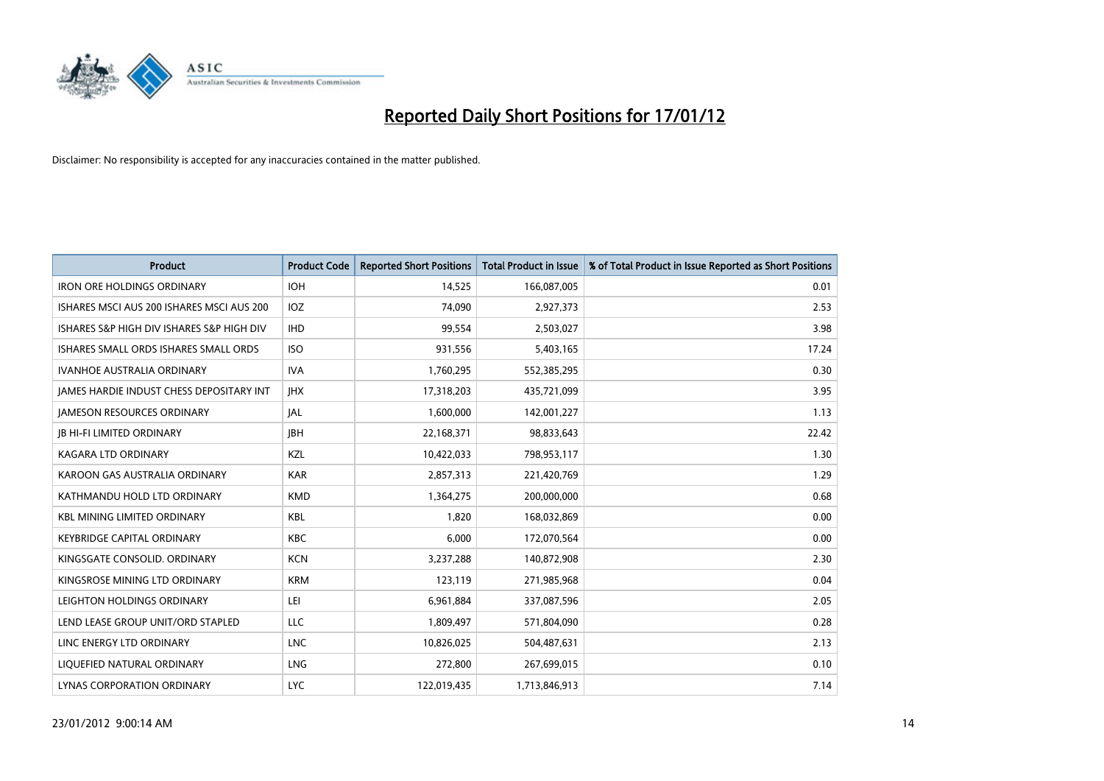

| <b>Product</b>                            | <b>Product Code</b> | <b>Reported Short Positions</b> | <b>Total Product in Issue</b> | % of Total Product in Issue Reported as Short Positions |
|-------------------------------------------|---------------------|---------------------------------|-------------------------------|---------------------------------------------------------|
| <b>IRON ORE HOLDINGS ORDINARY</b>         | <b>IOH</b>          | 14,525                          | 166,087,005                   | 0.01                                                    |
| ISHARES MSCI AUS 200 ISHARES MSCI AUS 200 | <b>IOZ</b>          | 74,090                          | 2,927,373                     | 2.53                                                    |
| ISHARES S&P HIGH DIV ISHARES S&P HIGH DIV | <b>IHD</b>          | 99,554                          | 2,503,027                     | 3.98                                                    |
| ISHARES SMALL ORDS ISHARES SMALL ORDS     | <b>ISO</b>          | 931,556                         | 5,403,165                     | 17.24                                                   |
| <b>IVANHOE AUSTRALIA ORDINARY</b>         | <b>IVA</b>          | 1,760,295                       | 552,385,295                   | 0.30                                                    |
| JAMES HARDIE INDUST CHESS DEPOSITARY INT  | <b>IHX</b>          | 17,318,203                      | 435,721,099                   | 3.95                                                    |
| <b>JAMESON RESOURCES ORDINARY</b>         | IAL                 | 1,600,000                       | 142,001,227                   | 1.13                                                    |
| <b>JB HI-FI LIMITED ORDINARY</b>          | <b>IBH</b>          | 22,168,371                      | 98,833,643                    | 22.42                                                   |
| KAGARA LTD ORDINARY                       | KZL                 | 10,422,033                      | 798,953,117                   | 1.30                                                    |
| KAROON GAS AUSTRALIA ORDINARY             | <b>KAR</b>          | 2,857,313                       | 221,420,769                   | 1.29                                                    |
| KATHMANDU HOLD LTD ORDINARY               | <b>KMD</b>          | 1,364,275                       | 200,000,000                   | 0.68                                                    |
| <b>KBL MINING LIMITED ORDINARY</b>        | <b>KBL</b>          | 1,820                           | 168,032,869                   | 0.00                                                    |
| <b>KEYBRIDGE CAPITAL ORDINARY</b>         | <b>KBC</b>          | 6,000                           | 172,070,564                   | 0.00                                                    |
| KINGSGATE CONSOLID, ORDINARY              | <b>KCN</b>          | 3,237,288                       | 140,872,908                   | 2.30                                                    |
| KINGSROSE MINING LTD ORDINARY             | <b>KRM</b>          | 123,119                         | 271,985,968                   | 0.04                                                    |
| LEIGHTON HOLDINGS ORDINARY                | LEI                 | 6,961,884                       | 337,087,596                   | 2.05                                                    |
| LEND LEASE GROUP UNIT/ORD STAPLED         | LLC                 | 1,809,497                       | 571,804,090                   | 0.28                                                    |
| LINC ENERGY LTD ORDINARY                  | <b>LNC</b>          | 10,826,025                      | 504,487,631                   | 2.13                                                    |
| LIOUEFIED NATURAL ORDINARY                | <b>LNG</b>          | 272,800                         | 267,699,015                   | 0.10                                                    |
| LYNAS CORPORATION ORDINARY                | <b>LYC</b>          | 122,019,435                     | 1,713,846,913                 | 7.14                                                    |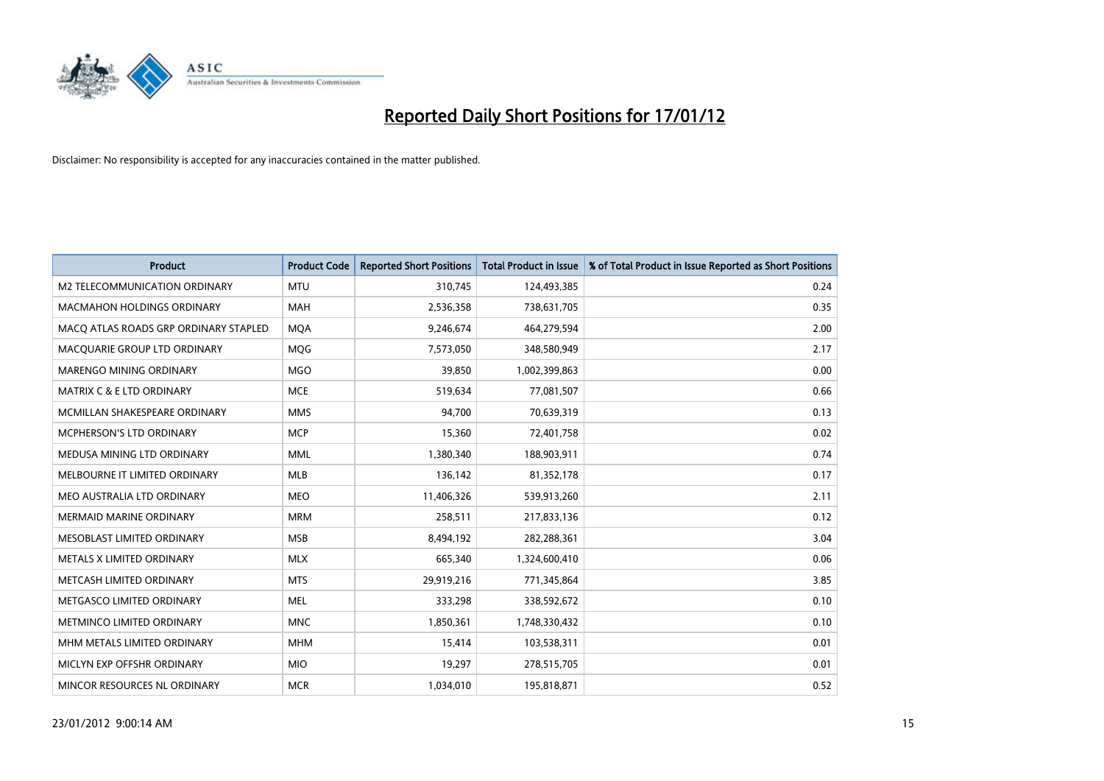

| <b>Product</b>                        | <b>Product Code</b> | <b>Reported Short Positions</b> | <b>Total Product in Issue</b> | % of Total Product in Issue Reported as Short Positions |
|---------------------------------------|---------------------|---------------------------------|-------------------------------|---------------------------------------------------------|
| M2 TELECOMMUNICATION ORDINARY         | <b>MTU</b>          | 310,745                         | 124,493,385                   | 0.24                                                    |
| <b>MACMAHON HOLDINGS ORDINARY</b>     | <b>MAH</b>          | 2,536,358                       | 738,631,705                   | 0.35                                                    |
| MACO ATLAS ROADS GRP ORDINARY STAPLED | <b>MOA</b>          | 9,246,674                       | 464,279,594                   | 2.00                                                    |
| MACQUARIE GROUP LTD ORDINARY          | MQG                 | 7,573,050                       | 348,580,949                   | 2.17                                                    |
| <b>MARENGO MINING ORDINARY</b>        | <b>MGO</b>          | 39,850                          | 1,002,399,863                 | 0.00                                                    |
| <b>MATRIX C &amp; E LTD ORDINARY</b>  | <b>MCE</b>          | 519,634                         | 77,081,507                    | 0.66                                                    |
| MCMILLAN SHAKESPEARE ORDINARY         | <b>MMS</b>          | 94,700                          | 70,639,319                    | 0.13                                                    |
| MCPHERSON'S LTD ORDINARY              | <b>MCP</b>          | 15,360                          | 72,401,758                    | 0.02                                                    |
| MEDUSA MINING LTD ORDINARY            | <b>MML</b>          | 1,380,340                       | 188,903,911                   | 0.74                                                    |
| MELBOURNE IT LIMITED ORDINARY         | <b>MLB</b>          | 136,142                         | 81,352,178                    | 0.17                                                    |
| MEO AUSTRALIA LTD ORDINARY            | <b>MEO</b>          | 11,406,326                      | 539,913,260                   | 2.11                                                    |
| <b>MERMAID MARINE ORDINARY</b>        | <b>MRM</b>          | 258,511                         | 217,833,136                   | 0.12                                                    |
| MESOBLAST LIMITED ORDINARY            | <b>MSB</b>          | 8,494,192                       | 282,288,361                   | 3.04                                                    |
| METALS X LIMITED ORDINARY             | <b>MLX</b>          | 665,340                         | 1,324,600,410                 | 0.06                                                    |
| METCASH LIMITED ORDINARY              | <b>MTS</b>          | 29,919,216                      | 771,345,864                   | 3.85                                                    |
| METGASCO LIMITED ORDINARY             | <b>MEL</b>          | 333,298                         | 338,592,672                   | 0.10                                                    |
| METMINCO LIMITED ORDINARY             | <b>MNC</b>          | 1,850,361                       | 1,748,330,432                 | 0.10                                                    |
| MHM METALS LIMITED ORDINARY           | <b>MHM</b>          | 15,414                          | 103,538,311                   | 0.01                                                    |
| MICLYN EXP OFFSHR ORDINARY            | <b>MIO</b>          | 19,297                          | 278,515,705                   | 0.01                                                    |
| MINCOR RESOURCES NL ORDINARY          | <b>MCR</b>          | 1,034,010                       | 195,818,871                   | 0.52                                                    |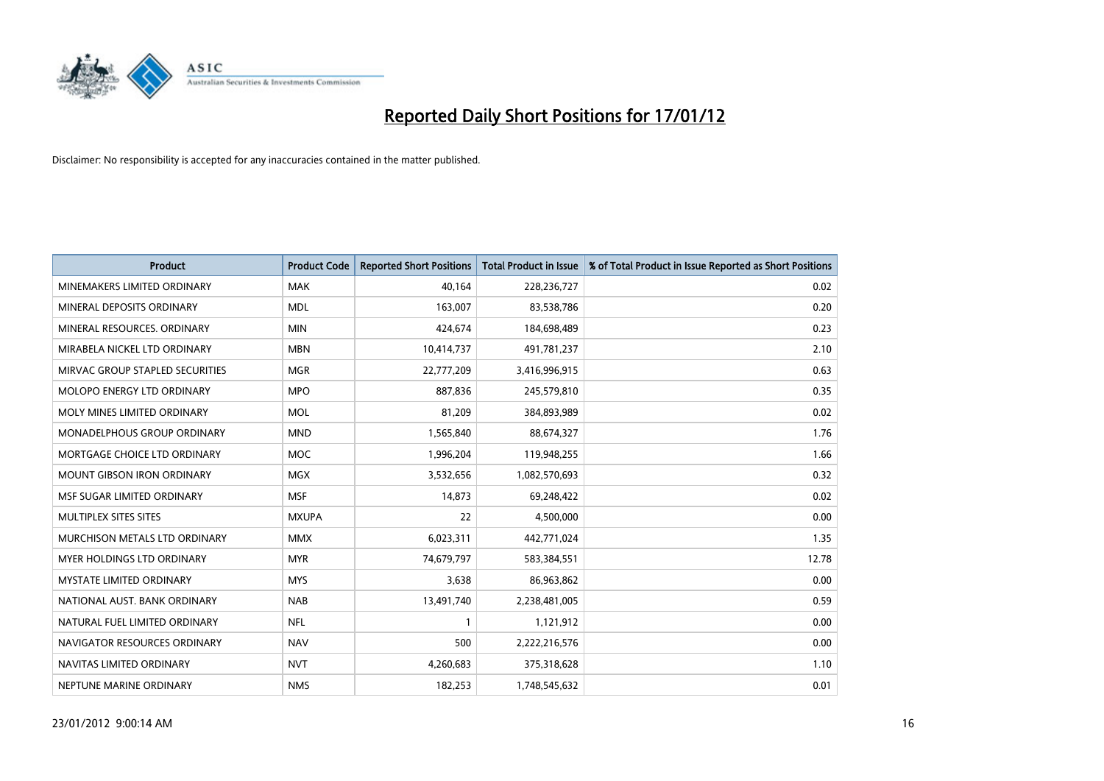

| <b>Product</b>                       | <b>Product Code</b> | <b>Reported Short Positions</b> | <b>Total Product in Issue</b> | % of Total Product in Issue Reported as Short Positions |
|--------------------------------------|---------------------|---------------------------------|-------------------------------|---------------------------------------------------------|
| MINEMAKERS LIMITED ORDINARY          | <b>MAK</b>          | 40,164                          | 228,236,727                   | 0.02                                                    |
| MINERAL DEPOSITS ORDINARY            | <b>MDL</b>          | 163,007                         | 83,538,786                    | 0.20                                                    |
| MINERAL RESOURCES, ORDINARY          | <b>MIN</b>          | 424,674                         | 184,698,489                   | 0.23                                                    |
| MIRABELA NICKEL LTD ORDINARY         | <b>MBN</b>          | 10,414,737                      | 491,781,237                   | 2.10                                                    |
| MIRVAC GROUP STAPLED SECURITIES      | <b>MGR</b>          | 22,777,209                      | 3,416,996,915                 | 0.63                                                    |
| <b>MOLOPO ENERGY LTD ORDINARY</b>    | <b>MPO</b>          | 887,836                         | 245,579,810                   | 0.35                                                    |
| MOLY MINES LIMITED ORDINARY          | <b>MOL</b>          | 81,209                          | 384,893,989                   | 0.02                                                    |
| MONADELPHOUS GROUP ORDINARY          | <b>MND</b>          | 1,565,840                       | 88,674,327                    | 1.76                                                    |
| MORTGAGE CHOICE LTD ORDINARY         | <b>MOC</b>          | 1,996,204                       | 119,948,255                   | 1.66                                                    |
| <b>MOUNT GIBSON IRON ORDINARY</b>    | <b>MGX</b>          | 3,532,656                       | 1,082,570,693                 | 0.32                                                    |
| MSF SUGAR LIMITED ORDINARY           | <b>MSF</b>          | 14,873                          | 69,248,422                    | 0.02                                                    |
| MULTIPLEX SITES SITES                | <b>MXUPA</b>        | 22                              | 4,500,000                     | 0.00                                                    |
| <b>MURCHISON METALS LTD ORDINARY</b> | <b>MMX</b>          | 6,023,311                       | 442,771,024                   | 1.35                                                    |
| <b>MYER HOLDINGS LTD ORDINARY</b>    | <b>MYR</b>          | 74,679,797                      | 583,384,551                   | 12.78                                                   |
| <b>MYSTATE LIMITED ORDINARY</b>      | <b>MYS</b>          | 3,638                           | 86,963,862                    | 0.00                                                    |
| NATIONAL AUST. BANK ORDINARY         | <b>NAB</b>          | 13,491,740                      | 2,238,481,005                 | 0.59                                                    |
| NATURAL FUEL LIMITED ORDINARY        | <b>NFL</b>          |                                 | 1,121,912                     | 0.00                                                    |
| NAVIGATOR RESOURCES ORDINARY         | <b>NAV</b>          | 500                             | 2,222,216,576                 | 0.00                                                    |
| NAVITAS LIMITED ORDINARY             | <b>NVT</b>          | 4,260,683                       | 375,318,628                   | 1.10                                                    |
| NEPTUNE MARINE ORDINARY              | <b>NMS</b>          | 182,253                         | 1,748,545,632                 | 0.01                                                    |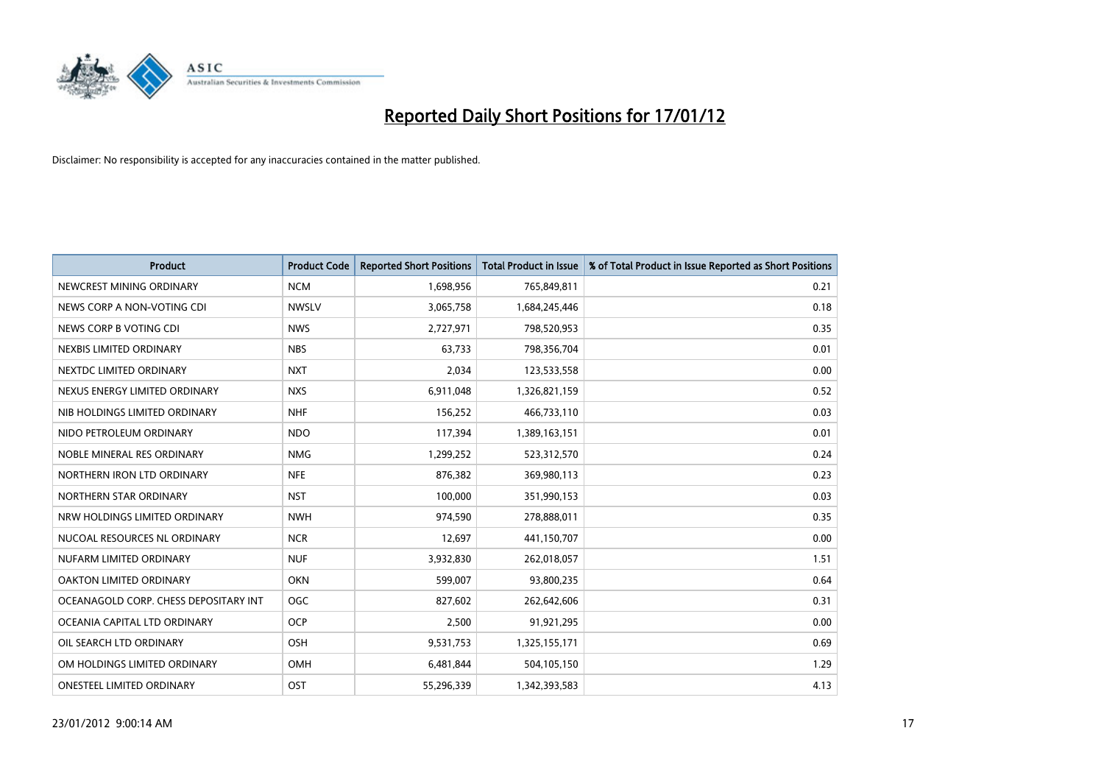

| <b>Product</b>                        | <b>Product Code</b> | <b>Reported Short Positions</b> | <b>Total Product in Issue</b> | % of Total Product in Issue Reported as Short Positions |
|---------------------------------------|---------------------|---------------------------------|-------------------------------|---------------------------------------------------------|
| NEWCREST MINING ORDINARY              | <b>NCM</b>          | 1,698,956                       | 765,849,811                   | 0.21                                                    |
| NEWS CORP A NON-VOTING CDI            | <b>NWSLV</b>        | 3,065,758                       | 1,684,245,446                 | 0.18                                                    |
| NEWS CORP B VOTING CDI                | <b>NWS</b>          | 2,727,971                       | 798,520,953                   | 0.35                                                    |
| NEXBIS LIMITED ORDINARY               | <b>NBS</b>          | 63,733                          | 798,356,704                   | 0.01                                                    |
| NEXTDC LIMITED ORDINARY               | <b>NXT</b>          | 2,034                           | 123,533,558                   | 0.00                                                    |
| NEXUS ENERGY LIMITED ORDINARY         | <b>NXS</b>          | 6,911,048                       | 1,326,821,159                 | 0.52                                                    |
| NIB HOLDINGS LIMITED ORDINARY         | <b>NHF</b>          | 156,252                         | 466,733,110                   | 0.03                                                    |
| NIDO PETROLEUM ORDINARY               | <b>NDO</b>          | 117,394                         | 1,389,163,151                 | 0.01                                                    |
| NOBLE MINERAL RES ORDINARY            | <b>NMG</b>          | 1,299,252                       | 523,312,570                   | 0.24                                                    |
| NORTHERN IRON LTD ORDINARY            | <b>NFE</b>          | 876,382                         | 369,980,113                   | 0.23                                                    |
| NORTHERN STAR ORDINARY                | <b>NST</b>          | 100,000                         | 351,990,153                   | 0.03                                                    |
| NRW HOLDINGS LIMITED ORDINARY         | <b>NWH</b>          | 974,590                         | 278,888,011                   | 0.35                                                    |
| NUCOAL RESOURCES NL ORDINARY          | <b>NCR</b>          | 12,697                          | 441,150,707                   | 0.00                                                    |
| NUFARM LIMITED ORDINARY               | <b>NUF</b>          | 3,932,830                       | 262,018,057                   | 1.51                                                    |
| OAKTON LIMITED ORDINARY               | <b>OKN</b>          | 599,007                         | 93,800,235                    | 0.64                                                    |
| OCEANAGOLD CORP. CHESS DEPOSITARY INT | <b>OGC</b>          | 827,602                         | 262,642,606                   | 0.31                                                    |
| OCEANIA CAPITAL LTD ORDINARY          | <b>OCP</b>          | 2,500                           | 91,921,295                    | 0.00                                                    |
| OIL SEARCH LTD ORDINARY               | <b>OSH</b>          | 9,531,753                       | 1,325,155,171                 | 0.69                                                    |
| OM HOLDINGS LIMITED ORDINARY          | <b>OMH</b>          | 6,481,844                       | 504,105,150                   | 1.29                                                    |
| ONESTEEL LIMITED ORDINARY             | OST                 | 55,296,339                      | 1,342,393,583                 | 4.13                                                    |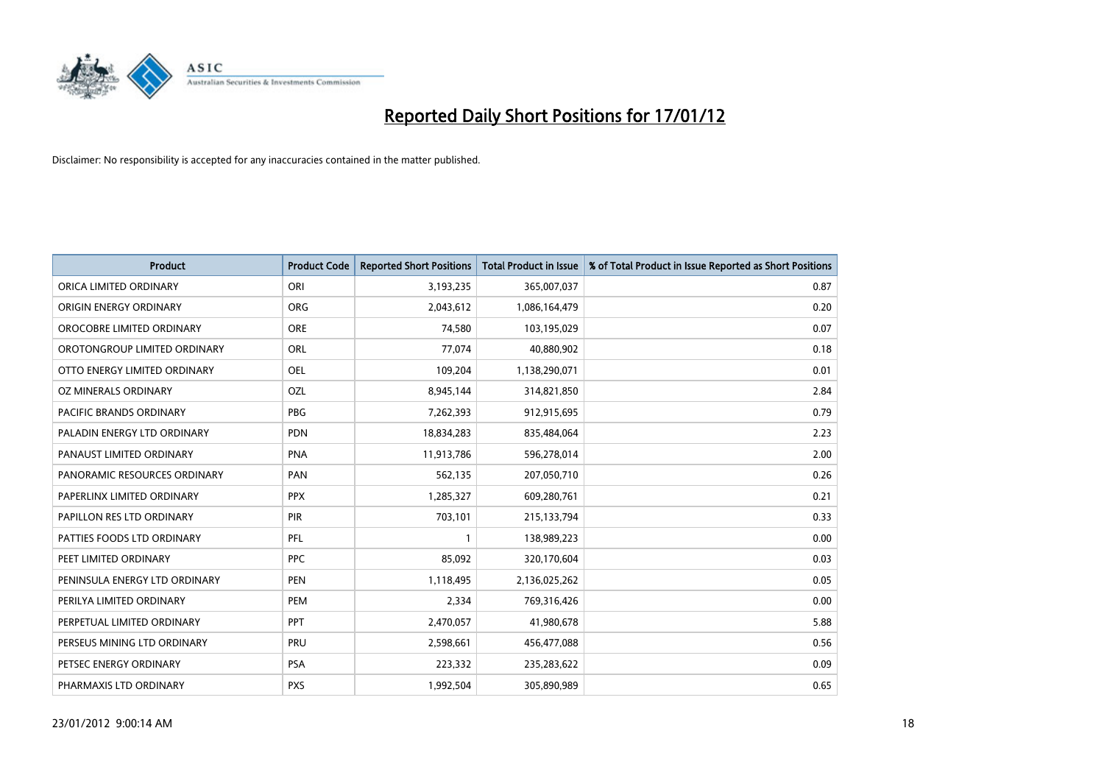

| <b>Product</b>                | <b>Product Code</b> | <b>Reported Short Positions</b> | <b>Total Product in Issue</b> | % of Total Product in Issue Reported as Short Positions |
|-------------------------------|---------------------|---------------------------------|-------------------------------|---------------------------------------------------------|
| ORICA LIMITED ORDINARY        | ORI                 | 3,193,235                       | 365,007,037                   | 0.87                                                    |
| ORIGIN ENERGY ORDINARY        | <b>ORG</b>          | 2,043,612                       | 1,086,164,479                 | 0.20                                                    |
| OROCOBRE LIMITED ORDINARY     | <b>ORE</b>          | 74,580                          | 103,195,029                   | 0.07                                                    |
| OROTONGROUP LIMITED ORDINARY  | <b>ORL</b>          | 77,074                          | 40,880,902                    | 0.18                                                    |
| OTTO ENERGY LIMITED ORDINARY  | <b>OEL</b>          | 109,204                         | 1,138,290,071                 | 0.01                                                    |
| OZ MINERALS ORDINARY          | OZL                 | 8,945,144                       | 314,821,850                   | 2.84                                                    |
| PACIFIC BRANDS ORDINARY       | <b>PBG</b>          | 7,262,393                       | 912,915,695                   | 0.79                                                    |
| PALADIN ENERGY LTD ORDINARY   | <b>PDN</b>          | 18,834,283                      | 835,484,064                   | 2.23                                                    |
| PANAUST LIMITED ORDINARY      | <b>PNA</b>          | 11,913,786                      | 596,278,014                   | 2.00                                                    |
| PANORAMIC RESOURCES ORDINARY  | PAN                 | 562,135                         | 207,050,710                   | 0.26                                                    |
| PAPERLINX LIMITED ORDINARY    | <b>PPX</b>          | 1,285,327                       | 609,280,761                   | 0.21                                                    |
| PAPILLON RES LTD ORDINARY     | <b>PIR</b>          | 703,101                         | 215,133,794                   | 0.33                                                    |
| PATTIES FOODS LTD ORDINARY    | PFL                 |                                 | 138,989,223                   | 0.00                                                    |
| PEET LIMITED ORDINARY         | <b>PPC</b>          | 85,092                          | 320,170,604                   | 0.03                                                    |
| PENINSULA ENERGY LTD ORDINARY | <b>PEN</b>          | 1,118,495                       | 2,136,025,262                 | 0.05                                                    |
| PERILYA LIMITED ORDINARY      | PEM                 | 2,334                           | 769,316,426                   | 0.00                                                    |
| PERPETUAL LIMITED ORDINARY    | PPT                 | 2,470,057                       | 41,980,678                    | 5.88                                                    |
| PERSEUS MINING LTD ORDINARY   | PRU                 | 2,598,661                       | 456,477,088                   | 0.56                                                    |
| PETSEC ENERGY ORDINARY        | <b>PSA</b>          | 223,332                         | 235,283,622                   | 0.09                                                    |
| PHARMAXIS LTD ORDINARY        | <b>PXS</b>          | 1,992,504                       | 305,890,989                   | 0.65                                                    |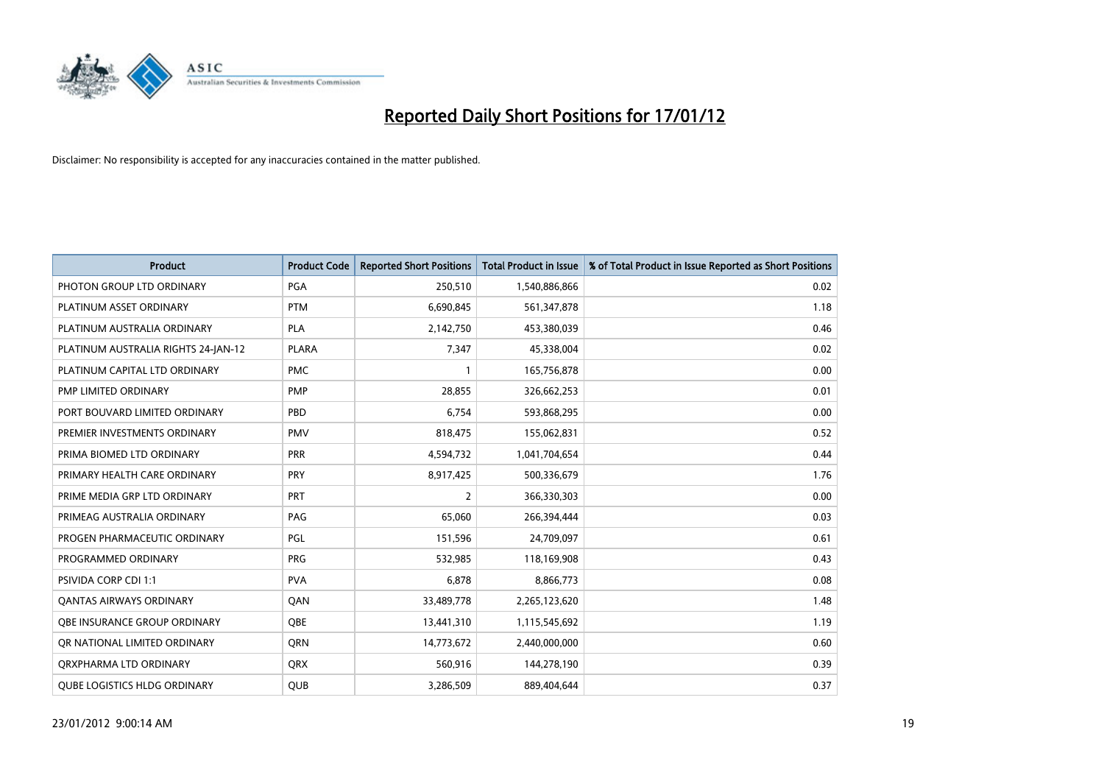

| <b>Product</b>                      | <b>Product Code</b> | <b>Reported Short Positions</b> | <b>Total Product in Issue</b> | % of Total Product in Issue Reported as Short Positions |
|-------------------------------------|---------------------|---------------------------------|-------------------------------|---------------------------------------------------------|
| PHOTON GROUP LTD ORDINARY           | PGA                 | 250,510                         | 1,540,886,866                 | 0.02                                                    |
| PLATINUM ASSET ORDINARY             | <b>PTM</b>          | 6,690,845                       | 561,347,878                   | 1.18                                                    |
| PLATINUM AUSTRALIA ORDINARY         | <b>PLA</b>          | 2,142,750                       | 453,380,039                   | 0.46                                                    |
| PLATINUM AUSTRALIA RIGHTS 24-JAN-12 | <b>PLARA</b>        | 7,347                           | 45,338,004                    | 0.02                                                    |
| PLATINUM CAPITAL LTD ORDINARY       | <b>PMC</b>          |                                 | 165,756,878                   | 0.00                                                    |
| <b>PMP LIMITED ORDINARY</b>         | PMP                 | 28.855                          | 326,662,253                   | 0.01                                                    |
| PORT BOUVARD LIMITED ORDINARY       | <b>PBD</b>          | 6,754                           | 593,868,295                   | 0.00                                                    |
| PREMIER INVESTMENTS ORDINARY        | <b>PMV</b>          | 818,475                         | 155,062,831                   | 0.52                                                    |
| PRIMA BIOMED LTD ORDINARY           | <b>PRR</b>          | 4,594,732                       | 1,041,704,654                 | 0.44                                                    |
| PRIMARY HEALTH CARE ORDINARY        | <b>PRY</b>          | 8,917,425                       | 500,336,679                   | 1.76                                                    |
| PRIME MEDIA GRP LTD ORDINARY        | <b>PRT</b>          | 2                               | 366,330,303                   | 0.00                                                    |
| PRIMEAG AUSTRALIA ORDINARY          | PAG                 | 65,060                          | 266,394,444                   | 0.03                                                    |
| PROGEN PHARMACEUTIC ORDINARY        | <b>PGL</b>          | 151,596                         | 24,709,097                    | 0.61                                                    |
| PROGRAMMED ORDINARY                 | <b>PRG</b>          | 532,985                         | 118,169,908                   | 0.43                                                    |
| PSIVIDA CORP CDI 1:1                | <b>PVA</b>          | 6,878                           | 8,866,773                     | 0.08                                                    |
| <b>QANTAS AIRWAYS ORDINARY</b>      | QAN                 | 33,489,778                      | 2,265,123,620                 | 1.48                                                    |
| <b>OBE INSURANCE GROUP ORDINARY</b> | <b>OBE</b>          | 13,441,310                      | 1,115,545,692                 | 1.19                                                    |
| OR NATIONAL LIMITED ORDINARY        | <b>ORN</b>          | 14,773,672                      | 2,440,000,000                 | 0.60                                                    |
| ORXPHARMA LTD ORDINARY              | <b>ORX</b>          | 560,916                         | 144,278,190                   | 0.39                                                    |
| <b>QUBE LOGISTICS HLDG ORDINARY</b> | <b>QUB</b>          | 3,286,509                       | 889,404,644                   | 0.37                                                    |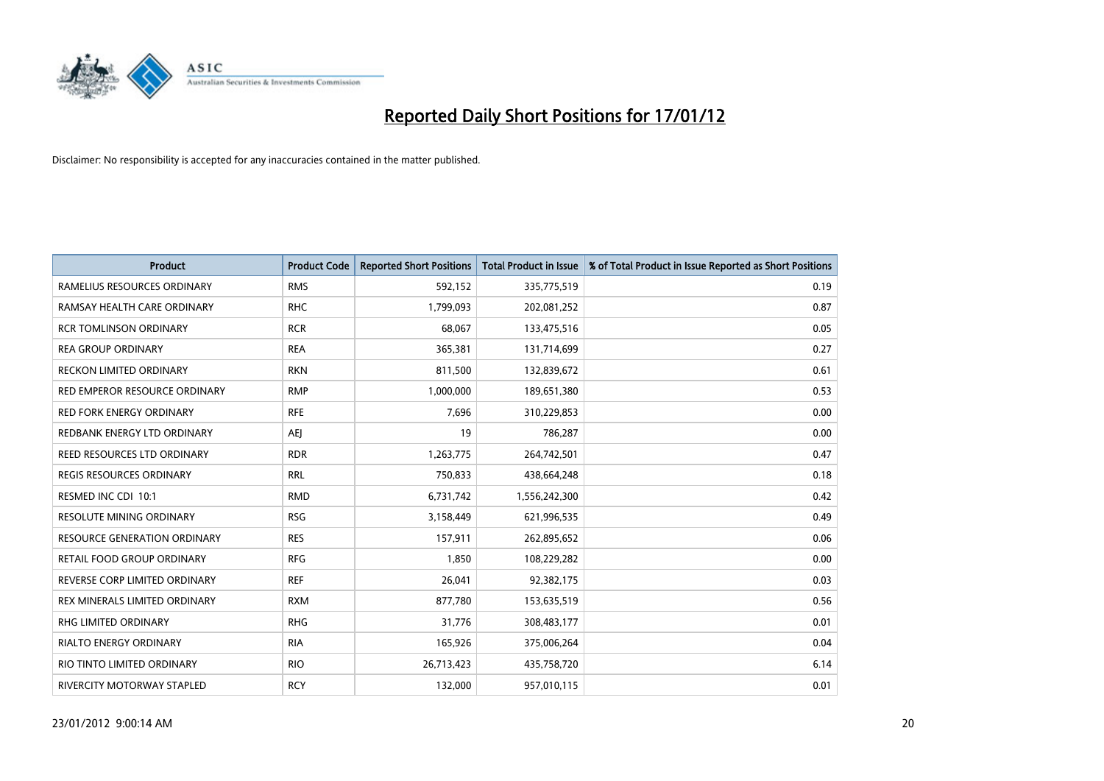

| <b>Product</b>                  | <b>Product Code</b> | <b>Reported Short Positions</b> | <b>Total Product in Issue</b> | % of Total Product in Issue Reported as Short Positions |
|---------------------------------|---------------------|---------------------------------|-------------------------------|---------------------------------------------------------|
| RAMELIUS RESOURCES ORDINARY     | <b>RMS</b>          | 592,152                         | 335,775,519                   | 0.19                                                    |
| RAMSAY HEALTH CARE ORDINARY     | <b>RHC</b>          | 1,799,093                       | 202,081,252                   | 0.87                                                    |
| <b>RCR TOMLINSON ORDINARY</b>   | <b>RCR</b>          | 68,067                          | 133,475,516                   | 0.05                                                    |
| <b>REA GROUP ORDINARY</b>       | <b>REA</b>          | 365,381                         | 131,714,699                   | 0.27                                                    |
| <b>RECKON LIMITED ORDINARY</b>  | <b>RKN</b>          | 811,500                         | 132,839,672                   | 0.61                                                    |
| RED EMPEROR RESOURCE ORDINARY   | <b>RMP</b>          | 1,000,000                       | 189,651,380                   | 0.53                                                    |
| <b>RED FORK ENERGY ORDINARY</b> | <b>RFE</b>          | 7,696                           | 310,229,853                   | 0.00                                                    |
| REDBANK ENERGY LTD ORDINARY     | AEI                 | 19                              | 786,287                       | 0.00                                                    |
| REED RESOURCES LTD ORDINARY     | <b>RDR</b>          | 1,263,775                       | 264,742,501                   | 0.47                                                    |
| <b>REGIS RESOURCES ORDINARY</b> | <b>RRL</b>          | 750,833                         | 438,664,248                   | 0.18                                                    |
| RESMED INC CDI 10:1             | <b>RMD</b>          | 6,731,742                       | 1,556,242,300                 | 0.42                                                    |
| <b>RESOLUTE MINING ORDINARY</b> | <b>RSG</b>          | 3,158,449                       | 621,996,535                   | 0.49                                                    |
| RESOURCE GENERATION ORDINARY    | <b>RES</b>          | 157,911                         | 262,895,652                   | 0.06                                                    |
| RETAIL FOOD GROUP ORDINARY      | <b>RFG</b>          | 1,850                           | 108,229,282                   | 0.00                                                    |
| REVERSE CORP LIMITED ORDINARY   | <b>REF</b>          | 26,041                          | 92,382,175                    | 0.03                                                    |
| REX MINERALS LIMITED ORDINARY   | <b>RXM</b>          | 877,780                         | 153,635,519                   | 0.56                                                    |
| RHG LIMITED ORDINARY            | <b>RHG</b>          | 31,776                          | 308,483,177                   | 0.01                                                    |
| RIALTO ENERGY ORDINARY          | <b>RIA</b>          | 165,926                         | 375,006,264                   | 0.04                                                    |
| RIO TINTO LIMITED ORDINARY      | <b>RIO</b>          | 26,713,423                      | 435,758,720                   | 6.14                                                    |
| RIVERCITY MOTORWAY STAPLED      | <b>RCY</b>          | 132,000                         | 957,010,115                   | 0.01                                                    |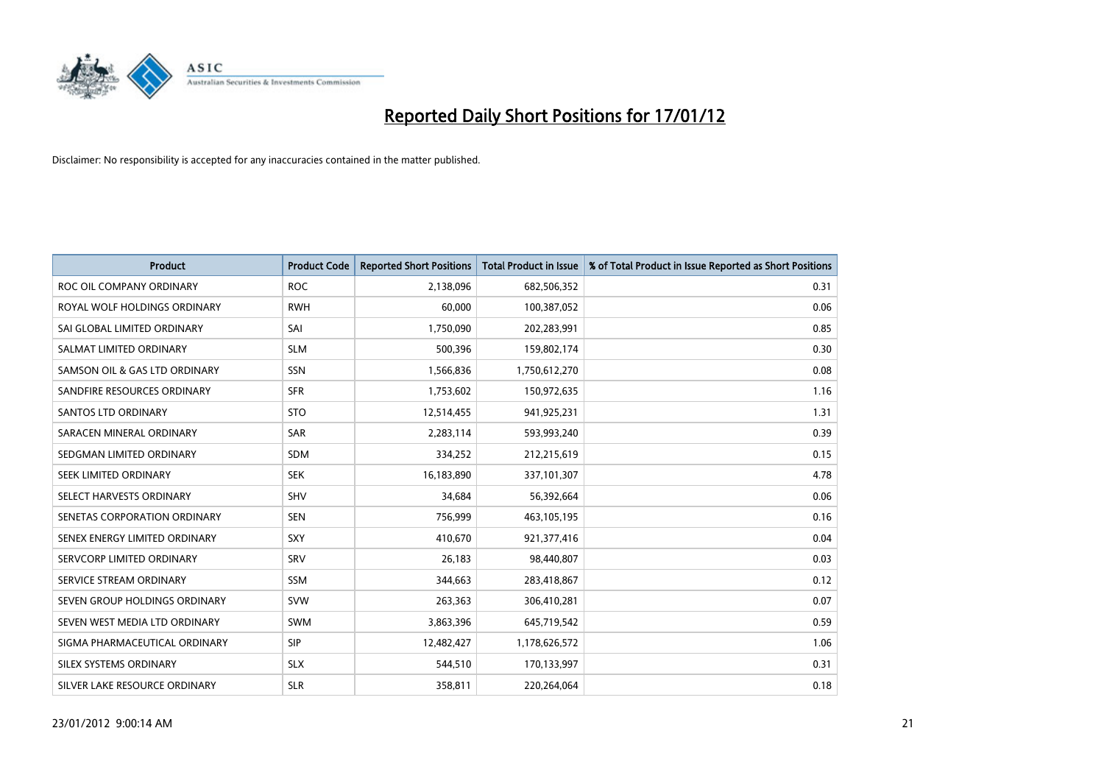

| <b>Product</b>                | <b>Product Code</b> | <b>Reported Short Positions</b> | <b>Total Product in Issue</b> | % of Total Product in Issue Reported as Short Positions |
|-------------------------------|---------------------|---------------------------------|-------------------------------|---------------------------------------------------------|
| ROC OIL COMPANY ORDINARY      | <b>ROC</b>          | 2,138,096                       | 682,506,352                   | 0.31                                                    |
| ROYAL WOLF HOLDINGS ORDINARY  | <b>RWH</b>          | 60.000                          | 100,387,052                   | 0.06                                                    |
| SAI GLOBAL LIMITED ORDINARY   | SAI                 | 1,750,090                       | 202,283,991                   | 0.85                                                    |
| SALMAT LIMITED ORDINARY       | <b>SLM</b>          | 500,396                         | 159,802,174                   | 0.30                                                    |
| SAMSON OIL & GAS LTD ORDINARY | SSN                 | 1,566,836                       | 1,750,612,270                 | 0.08                                                    |
| SANDFIRE RESOURCES ORDINARY   | <b>SFR</b>          | 1,753,602                       | 150,972,635                   | 1.16                                                    |
| SANTOS LTD ORDINARY           | <b>STO</b>          | 12,514,455                      | 941,925,231                   | 1.31                                                    |
| SARACEN MINERAL ORDINARY      | SAR                 | 2,283,114                       | 593,993,240                   | 0.39                                                    |
| SEDGMAN LIMITED ORDINARY      | <b>SDM</b>          | 334,252                         | 212,215,619                   | 0.15                                                    |
| SEEK LIMITED ORDINARY         | <b>SEK</b>          | 16,183,890                      | 337,101,307                   | 4.78                                                    |
| SELECT HARVESTS ORDINARY      | <b>SHV</b>          | 34,684                          | 56,392,664                    | 0.06                                                    |
| SENETAS CORPORATION ORDINARY  | <b>SEN</b>          | 756,999                         | 463,105,195                   | 0.16                                                    |
| SENEX ENERGY LIMITED ORDINARY | SXY                 | 410.670                         | 921,377,416                   | 0.04                                                    |
| SERVCORP LIMITED ORDINARY     | SRV                 | 26,183                          | 98,440,807                    | 0.03                                                    |
| SERVICE STREAM ORDINARY       | <b>SSM</b>          | 344,663                         | 283,418,867                   | 0.12                                                    |
| SEVEN GROUP HOLDINGS ORDINARY | <b>SVW</b>          | 263,363                         | 306,410,281                   | 0.07                                                    |
| SEVEN WEST MEDIA LTD ORDINARY | <b>SWM</b>          | 3,863,396                       | 645,719,542                   | 0.59                                                    |
| SIGMA PHARMACEUTICAL ORDINARY | <b>SIP</b>          | 12,482,427                      | 1,178,626,572                 | 1.06                                                    |
| SILEX SYSTEMS ORDINARY        | <b>SLX</b>          | 544,510                         | 170,133,997                   | 0.31                                                    |
| SILVER LAKE RESOURCE ORDINARY | <b>SLR</b>          | 358,811                         | 220.264.064                   | 0.18                                                    |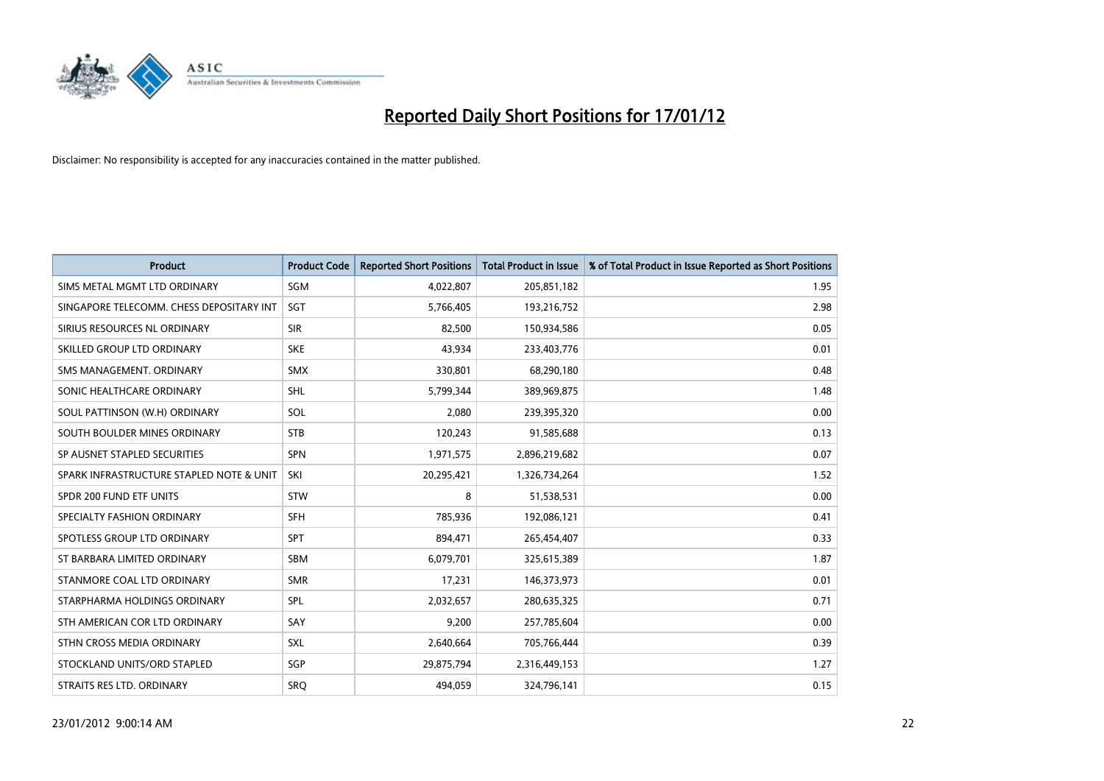

| <b>Product</b>                           | <b>Product Code</b> | <b>Reported Short Positions</b> | <b>Total Product in Issue</b> | % of Total Product in Issue Reported as Short Positions |
|------------------------------------------|---------------------|---------------------------------|-------------------------------|---------------------------------------------------------|
| SIMS METAL MGMT LTD ORDINARY             | SGM                 | 4,022,807                       | 205,851,182                   | 1.95                                                    |
| SINGAPORE TELECOMM. CHESS DEPOSITARY INT | <b>SGT</b>          | 5,766,405                       | 193,216,752                   | 2.98                                                    |
| SIRIUS RESOURCES NL ORDINARY             | <b>SIR</b>          | 82,500                          | 150,934,586                   | 0.05                                                    |
| SKILLED GROUP LTD ORDINARY               | <b>SKE</b>          | 43,934                          | 233,403,776                   | 0.01                                                    |
| SMS MANAGEMENT, ORDINARY                 | <b>SMX</b>          | 330,801                         | 68,290,180                    | 0.48                                                    |
| SONIC HEALTHCARE ORDINARY                | <b>SHL</b>          | 5,799,344                       | 389,969,875                   | 1.48                                                    |
| SOUL PATTINSON (W.H) ORDINARY            | SOL                 | 2,080                           | 239,395,320                   | 0.00                                                    |
| SOUTH BOULDER MINES ORDINARY             | <b>STB</b>          | 120,243                         | 91,585,688                    | 0.13                                                    |
| SP AUSNET STAPLED SECURITIES             | <b>SPN</b>          | 1,971,575                       | 2,896,219,682                 | 0.07                                                    |
| SPARK INFRASTRUCTURE STAPLED NOTE & UNIT | SKI                 | 20,295,421                      | 1,326,734,264                 | 1.52                                                    |
| SPDR 200 FUND ETF UNITS                  | <b>STW</b>          | 8                               | 51,538,531                    | 0.00                                                    |
| SPECIALTY FASHION ORDINARY               | <b>SFH</b>          | 785,936                         | 192,086,121                   | 0.41                                                    |
| SPOTLESS GROUP LTD ORDINARY              | <b>SPT</b>          | 894,471                         | 265,454,407                   | 0.33                                                    |
| ST BARBARA LIMITED ORDINARY              | <b>SBM</b>          | 6,079,701                       | 325,615,389                   | 1.87                                                    |
| STANMORE COAL LTD ORDINARY               | <b>SMR</b>          | 17,231                          | 146,373,973                   | 0.01                                                    |
| STARPHARMA HOLDINGS ORDINARY             | SPL                 | 2,032,657                       | 280,635,325                   | 0.71                                                    |
| STH AMERICAN COR LTD ORDINARY            | SAY                 | 9,200                           | 257,785,604                   | 0.00                                                    |
| STHN CROSS MEDIA ORDINARY                | <b>SXL</b>          | 2,640,664                       | 705,766,444                   | 0.39                                                    |
| STOCKLAND UNITS/ORD STAPLED              | <b>SGP</b>          | 29,875,794                      | 2,316,449,153                 | 1.27                                                    |
| STRAITS RES LTD. ORDINARY                | <b>SRO</b>          | 494,059                         | 324,796,141                   | 0.15                                                    |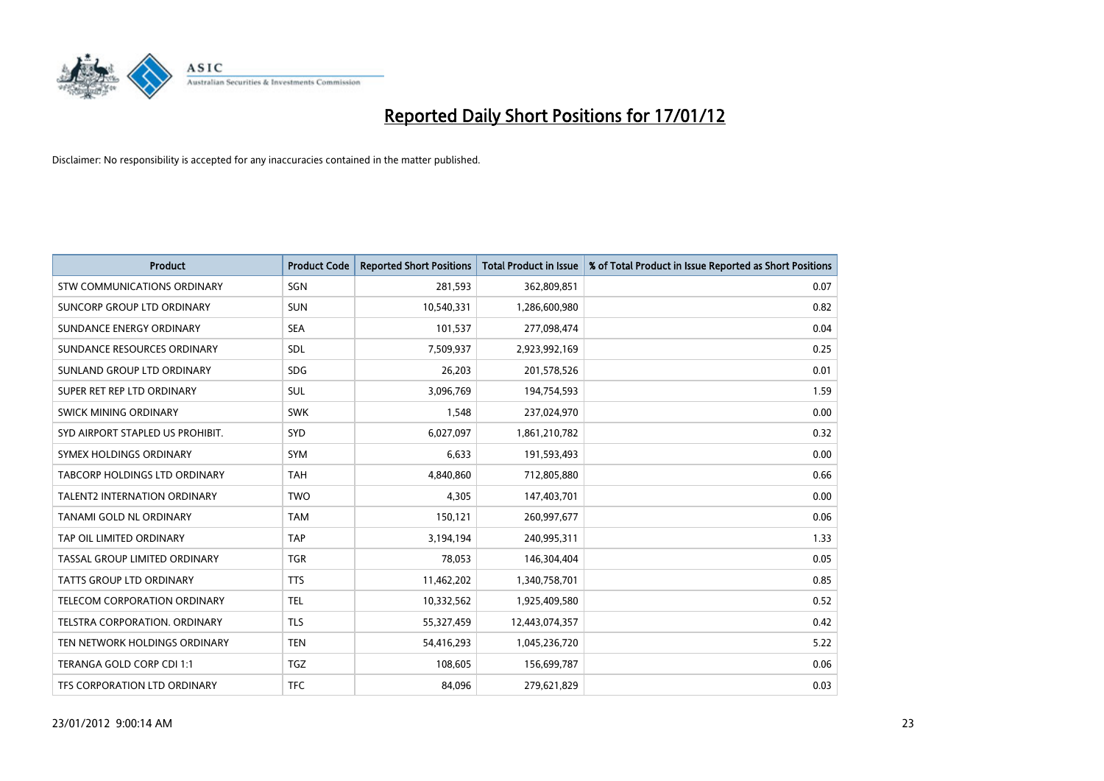

| <b>Product</b>                       | <b>Product Code</b> | <b>Reported Short Positions</b> | <b>Total Product in Issue</b> | % of Total Product in Issue Reported as Short Positions |
|--------------------------------------|---------------------|---------------------------------|-------------------------------|---------------------------------------------------------|
| STW COMMUNICATIONS ORDINARY          | SGN                 | 281,593                         | 362,809,851                   | 0.07                                                    |
| SUNCORP GROUP LTD ORDINARY           | <b>SUN</b>          | 10,540,331                      | 1,286,600,980                 | 0.82                                                    |
| SUNDANCE ENERGY ORDINARY             | <b>SEA</b>          | 101,537                         | 277,098,474                   | 0.04                                                    |
| SUNDANCE RESOURCES ORDINARY          | <b>SDL</b>          | 7,509,937                       | 2,923,992,169                 | 0.25                                                    |
| SUNLAND GROUP LTD ORDINARY           | <b>SDG</b>          | 26,203                          | 201,578,526                   | 0.01                                                    |
| SUPER RET REP LTD ORDINARY           | <b>SUL</b>          | 3,096,769                       | 194,754,593                   | 1.59                                                    |
| <b>SWICK MINING ORDINARY</b>         | <b>SWK</b>          | 1,548                           | 237,024,970                   | 0.00                                                    |
| SYD AIRPORT STAPLED US PROHIBIT.     | SYD                 | 6,027,097                       | 1,861,210,782                 | 0.32                                                    |
| SYMEX HOLDINGS ORDINARY              | <b>SYM</b>          | 6,633                           | 191,593,493                   | 0.00                                                    |
| TABCORP HOLDINGS LTD ORDINARY        | <b>TAH</b>          | 4,840,860                       | 712,805,880                   | 0.66                                                    |
| <b>TALENT2 INTERNATION ORDINARY</b>  | <b>TWO</b>          | 4,305                           | 147,403,701                   | 0.00                                                    |
| TANAMI GOLD NL ORDINARY              | <b>TAM</b>          | 150,121                         | 260,997,677                   | 0.06                                                    |
| TAP OIL LIMITED ORDINARY             | <b>TAP</b>          | 3,194,194                       | 240,995,311                   | 1.33                                                    |
| <b>TASSAL GROUP LIMITED ORDINARY</b> | <b>TGR</b>          | 78,053                          | 146,304,404                   | 0.05                                                    |
| <b>TATTS GROUP LTD ORDINARY</b>      | <b>TTS</b>          | 11,462,202                      | 1,340,758,701                 | 0.85                                                    |
| <b>TELECOM CORPORATION ORDINARY</b>  | <b>TEL</b>          | 10,332,562                      | 1,925,409,580                 | 0.52                                                    |
| TELSTRA CORPORATION. ORDINARY        | <b>TLS</b>          | 55,327,459                      | 12,443,074,357                | 0.42                                                    |
| TEN NETWORK HOLDINGS ORDINARY        | <b>TEN</b>          | 54,416,293                      | 1,045,236,720                 | 5.22                                                    |
| TERANGA GOLD CORP CDI 1:1            | <b>TGZ</b>          | 108,605                         | 156,699,787                   | 0.06                                                    |
| TFS CORPORATION LTD ORDINARY         | <b>TFC</b>          | 84,096                          | 279,621,829                   | 0.03                                                    |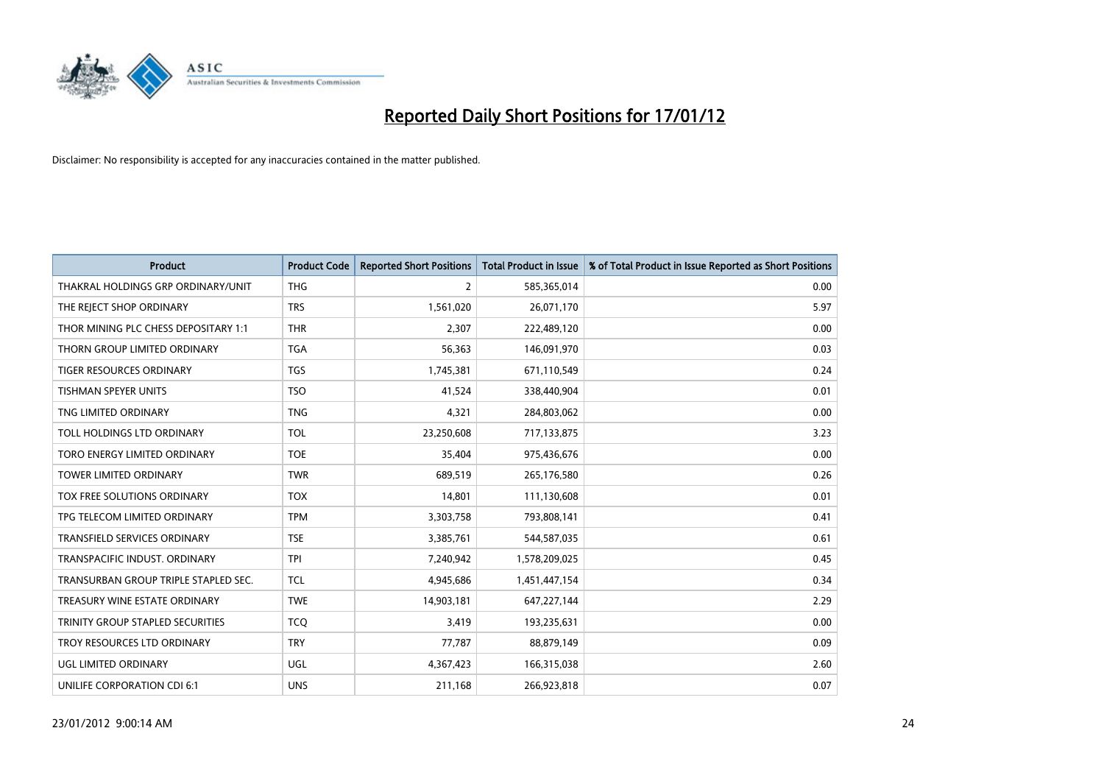

| <b>Product</b>                       | <b>Product Code</b> | <b>Reported Short Positions</b> | <b>Total Product in Issue</b> | % of Total Product in Issue Reported as Short Positions |
|--------------------------------------|---------------------|---------------------------------|-------------------------------|---------------------------------------------------------|
| THAKRAL HOLDINGS GRP ORDINARY/UNIT   | <b>THG</b>          | $\overline{2}$                  | 585,365,014                   | 0.00                                                    |
| THE REJECT SHOP ORDINARY             | <b>TRS</b>          | 1,561,020                       | 26,071,170                    | 5.97                                                    |
| THOR MINING PLC CHESS DEPOSITARY 1:1 | <b>THR</b>          | 2,307                           | 222,489,120                   | 0.00                                                    |
| THORN GROUP LIMITED ORDINARY         | <b>TGA</b>          | 56,363                          | 146,091,970                   | 0.03                                                    |
| <b>TIGER RESOURCES ORDINARY</b>      | <b>TGS</b>          | 1,745,381                       | 671,110,549                   | 0.24                                                    |
| <b>TISHMAN SPEYER UNITS</b>          | <b>TSO</b>          | 41.524                          | 338,440,904                   | 0.01                                                    |
| TNG LIMITED ORDINARY                 | <b>TNG</b>          | 4,321                           | 284,803,062                   | 0.00                                                    |
| TOLL HOLDINGS LTD ORDINARY           | <b>TOL</b>          | 23,250,608                      | 717,133,875                   | 3.23                                                    |
| TORO ENERGY LIMITED ORDINARY         | <b>TOE</b>          | 35,404                          | 975,436,676                   | 0.00                                                    |
| <b>TOWER LIMITED ORDINARY</b>        | <b>TWR</b>          | 689,519                         | 265,176,580                   | 0.26                                                    |
| TOX FREE SOLUTIONS ORDINARY          | <b>TOX</b>          | 14,801                          | 111,130,608                   | 0.01                                                    |
| TPG TELECOM LIMITED ORDINARY         | <b>TPM</b>          | 3,303,758                       | 793,808,141                   | 0.41                                                    |
| TRANSFIELD SERVICES ORDINARY         | <b>TSE</b>          | 3,385,761                       | 544,587,035                   | 0.61                                                    |
| TRANSPACIFIC INDUST. ORDINARY        | <b>TPI</b>          | 7,240,942                       | 1,578,209,025                 | 0.45                                                    |
| TRANSURBAN GROUP TRIPLE STAPLED SEC. | <b>TCL</b>          | 4,945,686                       | 1,451,447,154                 | 0.34                                                    |
| TREASURY WINE ESTATE ORDINARY        | <b>TWE</b>          | 14,903,181                      | 647,227,144                   | 2.29                                                    |
| TRINITY GROUP STAPLED SECURITIES     | <b>TCO</b>          | 3,419                           | 193,235,631                   | 0.00                                                    |
| TROY RESOURCES LTD ORDINARY          | <b>TRY</b>          | 77,787                          | 88,879,149                    | 0.09                                                    |
| UGL LIMITED ORDINARY                 | <b>UGL</b>          | 4,367,423                       | 166,315,038                   | 2.60                                                    |
| UNILIFE CORPORATION CDI 6:1          | <b>UNS</b>          | 211,168                         | 266,923,818                   | 0.07                                                    |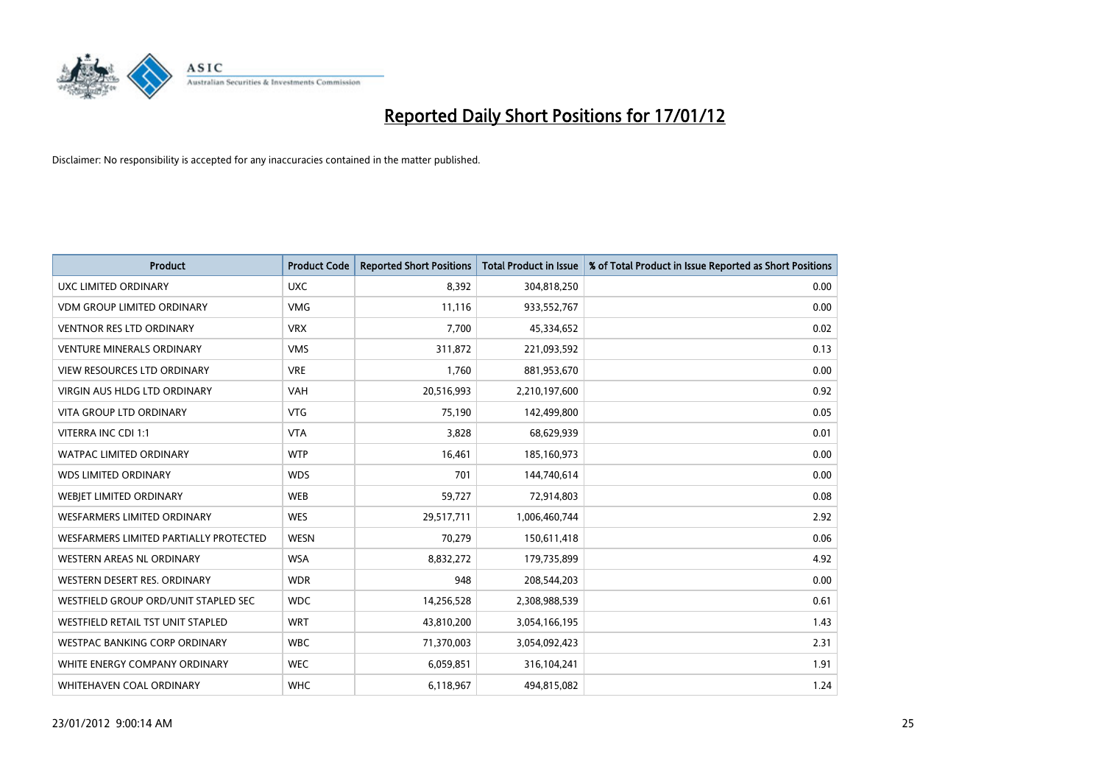

| <b>Product</b>                         | <b>Product Code</b> | <b>Reported Short Positions</b> | <b>Total Product in Issue</b> | % of Total Product in Issue Reported as Short Positions |
|----------------------------------------|---------------------|---------------------------------|-------------------------------|---------------------------------------------------------|
| <b>UXC LIMITED ORDINARY</b>            | <b>UXC</b>          | 8,392                           | 304,818,250                   | 0.00                                                    |
| <b>VDM GROUP LIMITED ORDINARY</b>      | <b>VMG</b>          | 11,116                          | 933,552,767                   | 0.00                                                    |
| <b>VENTNOR RES LTD ORDINARY</b>        | <b>VRX</b>          | 7.700                           | 45,334,652                    | 0.02                                                    |
| <b>VENTURE MINERALS ORDINARY</b>       | <b>VMS</b>          | 311,872                         | 221,093,592                   | 0.13                                                    |
| <b>VIEW RESOURCES LTD ORDINARY</b>     | <b>VRE</b>          | 1,760                           | 881,953,670                   | 0.00                                                    |
| <b>VIRGIN AUS HLDG LTD ORDINARY</b>    | <b>VAH</b>          | 20,516,993                      | 2,210,197,600                 | 0.92                                                    |
| <b>VITA GROUP LTD ORDINARY</b>         | <b>VTG</b>          | 75,190                          | 142,499,800                   | 0.05                                                    |
| VITERRA INC CDI 1:1                    | <b>VTA</b>          | 3,828                           | 68,629,939                    | 0.01                                                    |
| <b>WATPAC LIMITED ORDINARY</b>         | <b>WTP</b>          | 16,461                          | 185,160,973                   | 0.00                                                    |
| <b>WDS LIMITED ORDINARY</b>            | <b>WDS</b>          | 701                             | 144,740,614                   | 0.00                                                    |
| WEBIET LIMITED ORDINARY                | WEB                 | 59,727                          | 72,914,803                    | 0.08                                                    |
| <b>WESFARMERS LIMITED ORDINARY</b>     | <b>WES</b>          | 29,517,711                      | 1,006,460,744                 | 2.92                                                    |
| WESFARMERS LIMITED PARTIALLY PROTECTED | <b>WESN</b>         | 70,279                          | 150,611,418                   | 0.06                                                    |
| <b>WESTERN AREAS NL ORDINARY</b>       | <b>WSA</b>          | 8,832,272                       | 179,735,899                   | 4.92                                                    |
| WESTERN DESERT RES. ORDINARY           | <b>WDR</b>          | 948                             | 208,544,203                   | 0.00                                                    |
| WESTFIELD GROUP ORD/UNIT STAPLED SEC   | <b>WDC</b>          | 14,256,528                      | 2,308,988,539                 | 0.61                                                    |
| WESTFIELD RETAIL TST UNIT STAPLED      | <b>WRT</b>          | 43,810,200                      | 3,054,166,195                 | 1.43                                                    |
| WESTPAC BANKING CORP ORDINARY          | <b>WBC</b>          | 71,370,003                      | 3,054,092,423                 | 2.31                                                    |
| WHITE ENERGY COMPANY ORDINARY          | <b>WEC</b>          | 6,059,851                       | 316,104,241                   | 1.91                                                    |
| WHITEHAVEN COAL ORDINARY               | <b>WHC</b>          | 6,118,967                       | 494,815,082                   | 1.24                                                    |